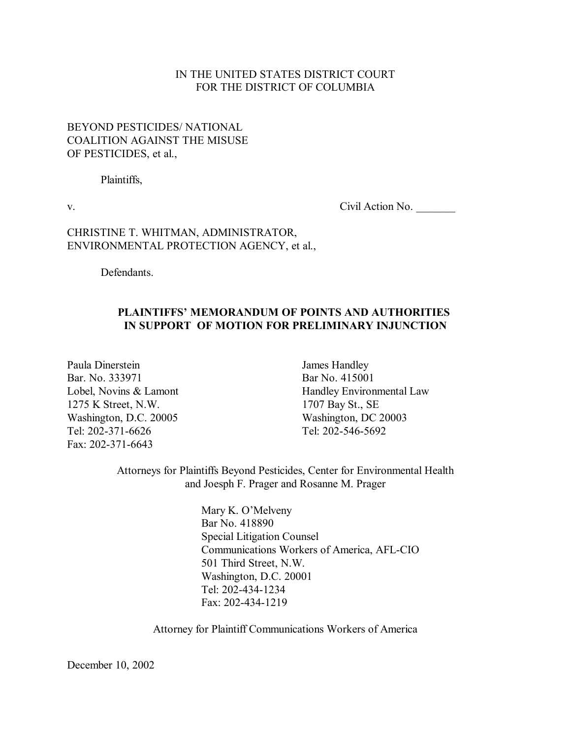### IN THE UNITED STATES DISTRICT COURT FOR THE DISTRICT OF COLUMBIA

## BEYOND PESTICIDES/ NATIONAL COALITION AGAINST THE MISUSE OF PESTICIDES, et al.,

Plaintiffs,

v. Civil Action No.

### CHRISTINE T. WHITMAN, ADMINISTRATOR, ENVIRONMENTAL PROTECTION AGENCY, et al.,

Defendants.

### **PLAINTIFFSí MEMORANDUM OF POINTS AND AUTHORITIES IN SUPPORT OF MOTION FOR PRELIMINARY INJUNCTION**

Paula Dinerstein James Handley Bar. No. 333971 Bar No. 415001 1275 K Street, N.W. 1707 Bay St., SE Washington, D.C. 20005 Washington, DC 20003 Tel: 202-371-6626 Tel: 202-546-5692 Fax: 202-371-6643

Lobel, Novins & Lamont Handley Environmental Law

Attorneys for Plaintiffs Beyond Pesticides, Center for Environmental Health and Joesph F. Prager and Rosanne M. Prager

> Mary K. O'Melveny Bar No. 418890 Special Litigation Counsel Communications Workers of America, AFL-CIO 501 Third Street, N.W. Washington, D.C. 20001 Tel: 202-434-1234 Fax: 202-434-1219

Attorney for Plaintiff Communications Workers of America

December 10, 2002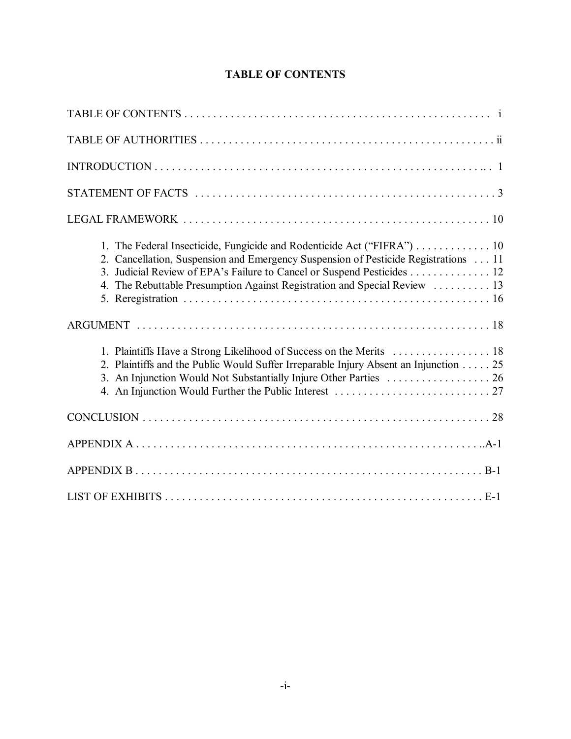| 1. The Federal Insecticide, Fungicide and Rodenticide Act ("FIFRA") 10<br>2. Cancellation, Suspension and Emergency Suspension of Pesticide Registrations  11<br>3. Judicial Review of EPA's Failure to Cancel or Suspend Pesticides 12<br>4. The Rebuttable Presumption Against Registration and Special Review  13<br>1. Plaintiffs Have a Strong Likelihood of Success on the Merits  18<br>2. Plaintiffs and the Public Would Suffer Irreparable Injury Absent an Injunction 25<br>3. An Injunction Would Not Substantially Injure Other Parties  26 |
|----------------------------------------------------------------------------------------------------------------------------------------------------------------------------------------------------------------------------------------------------------------------------------------------------------------------------------------------------------------------------------------------------------------------------------------------------------------------------------------------------------------------------------------------------------|
|                                                                                                                                                                                                                                                                                                                                                                                                                                                                                                                                                          |
|                                                                                                                                                                                                                                                                                                                                                                                                                                                                                                                                                          |
|                                                                                                                                                                                                                                                                                                                                                                                                                                                                                                                                                          |
|                                                                                                                                                                                                                                                                                                                                                                                                                                                                                                                                                          |

# **TABLE OF CONTENTS**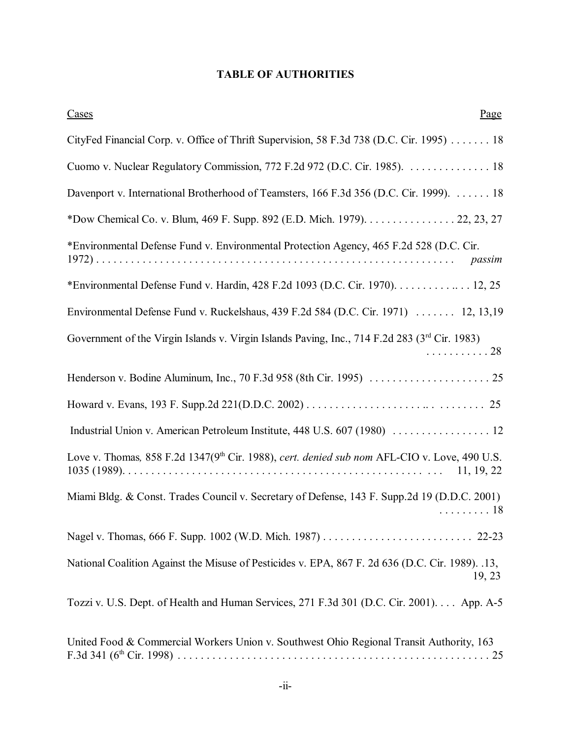# **TABLE OF AUTHORITIES**

| Cases<br>Page                                                                                                          |
|------------------------------------------------------------------------------------------------------------------------|
| CityFed Financial Corp. v. Office of Thrift Supervision, 58 F.3d 738 (D.C. Cir. 1995) 18                               |
| Cuomo v. Nuclear Regulatory Commission, 772 F.2d 972 (D.C. Cir. 1985). 18                                              |
| Davenport v. International Brotherhood of Teamsters, 166 F.3d 356 (D.C. Cir. 1999). 18                                 |
| *Dow Chemical Co. v. Blum, 469 F. Supp. 892 (E.D. Mich. 1979). 22, 23, 27                                              |
| *Environmental Defense Fund v. Environmental Protection Agency, 465 F.2d 528 (D.C. Cir.<br>passim                      |
| *Environmental Defense Fund v. Hardin, 428 F.2d 1093 (D.C. Cir. 1970). 12, 25                                          |
| Environmental Defense Fund v. Ruckelshaus, 439 F.2d 584 (D.C. Cir. 1971)  12, 13,19                                    |
| Government of the Virgin Islands v. Virgin Islands Paving, Inc., 714 F.2d 283 (3 <sup>rd</sup> Cir. 1983)<br>. 28      |
|                                                                                                                        |
|                                                                                                                        |
|                                                                                                                        |
| Love v. Thomas, 858 F.2d 1347(9 <sup>th</sup> Cir. 1988), cert. denied sub nom AFL-CIO v. Love, 490 U.S.<br>11, 19, 22 |
| Miami Bldg. & Const. Trades Council v. Secretary of Defense, 143 F. Supp.2d 19 (D.D.C. 2001)<br>. 18                   |
|                                                                                                                        |
| National Coalition Against the Misuse of Pesticides v. EPA, 867 F. 2d 636 (D.C. Cir. 1989). .13,<br>19, 23             |
| Tozzi v. U.S. Dept. of Health and Human Services, 271 F.3d 301 (D.C. Cir. 2001). App. A-5                              |
| United Food & Commercial Workers Union v. Southwest Ohio Regional Transit Authority, 163                               |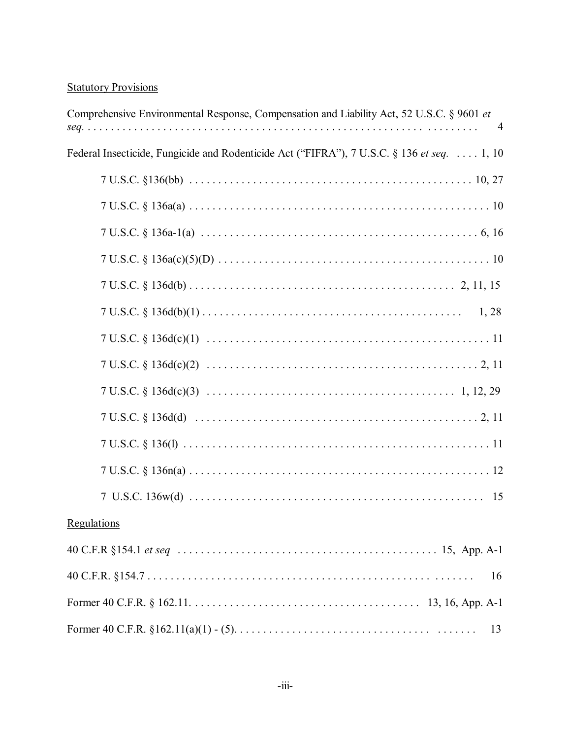# **Statutory Provisions**

| Comprehensive Environmental Response, Compensation and Liability Act, 52 U.S.C. § 9601 et  |
|--------------------------------------------------------------------------------------------|
| Federal Insecticide, Fungicide and Rodenticide Act ("FIFRA"), 7 U.S.C. § 136 et seq. 1, 10 |
|                                                                                            |
|                                                                                            |
|                                                                                            |
|                                                                                            |
|                                                                                            |
|                                                                                            |
|                                                                                            |
|                                                                                            |
|                                                                                            |
|                                                                                            |
|                                                                                            |
|                                                                                            |
|                                                                                            |
| <b>Regulations</b>                                                                         |
|                                                                                            |
| 16                                                                                         |
|                                                                                            |
| 13                                                                                         |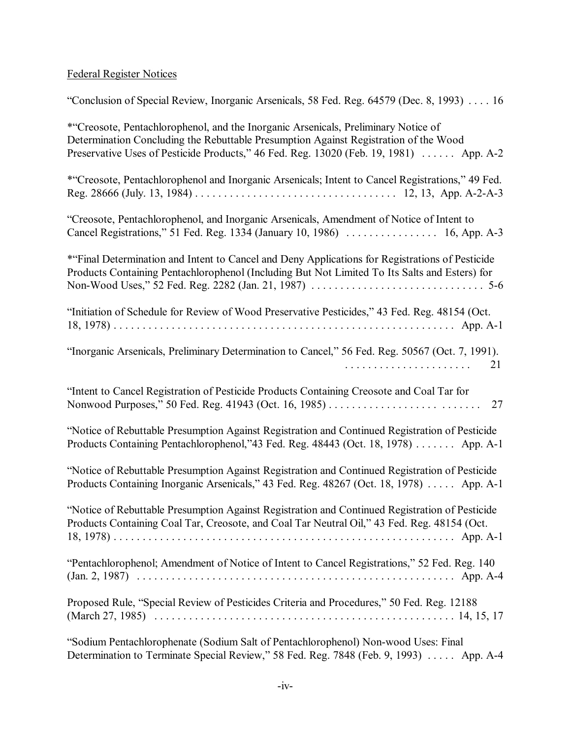# Federal Register Notices

| "Conclusion of Special Review, Inorganic Arsenicals, 58 Fed. Reg. 64579 (Dec. 8, 1993)  16                                                                                                                                                                           |
|----------------------------------------------------------------------------------------------------------------------------------------------------------------------------------------------------------------------------------------------------------------------|
| *"Creosote, Pentachlorophenol, and the Inorganic Arsenicals, Preliminary Notice of<br>Determination Concluding the Rebuttable Presumption Against Registration of the Wood<br>Preservative Uses of Pesticide Products," 46 Fed. Reg. 13020 (Feb. 19, 1981)  App. A-2 |
| *"Creosote, Pentachlorophenol and Inorganic Arsenicals; Intent to Cancel Registrations," 49 Fed.                                                                                                                                                                     |
| "Creosote, Pentachlorophenol, and Inorganic Arsenicals, Amendment of Notice of Intent to<br>Cancel Registrations," 51 Fed. Reg. 1334 (January 10, 1986)  16, App. A-3                                                                                                |
| *"Final Determination and Intent to Cancel and Deny Applications for Registrations of Pesticide<br>Products Containing Pentachlorophenol (Including But Not Limited To Its Salts and Esters) for                                                                     |
| "Initiation of Schedule for Review of Wood Preservative Pesticides," 43 Fed. Reg. 48154 (Oct.                                                                                                                                                                        |
| "Inorganic Arsenicals, Preliminary Determination to Cancel," 56 Fed. Reg. 50567 (Oct. 7, 1991).<br>21                                                                                                                                                                |
| "Intent to Cancel Registration of Pesticide Products Containing Creosote and Coal Tar for<br>Nonwood Purposes," 50 Fed. Reg. 41943 (Oct. 16, 1985)<br>27                                                                                                             |
| "Notice of Rebuttable Presumption Against Registration and Continued Registration of Pesticide<br>Products Containing Pentachlorophenol,"43 Fed. Reg. 48443 (Oct. 18, 1978) App. A-1                                                                                 |
| "Notice of Rebuttable Presumption Against Registration and Continued Registration of Pesticide<br>Products Containing Inorganic Arsenicals," 43 Fed. Reg. 48267 (Oct. 18, 1978)  App. A-1                                                                            |
| "Notice of Rebuttable Presumption Against Registration and Continued Registration of Pesticide<br>Products Containing Coal Tar, Creosote, and Coal Tar Neutral Oil," 43 Fed. Reg. 48154 (Oct.                                                                        |
| "Pentachlorophenol; Amendment of Notice of Intent to Cancel Registrations," 52 Fed. Reg. 140                                                                                                                                                                         |
| Proposed Rule, "Special Review of Pesticides Criteria and Procedures," 50 Fed. Reg. 12188                                                                                                                                                                            |
| "Sodium Pentachlorophenate (Sodium Salt of Pentachlorophenol) Non-wood Uses: Final                                                                                                                                                                                   |

-iv-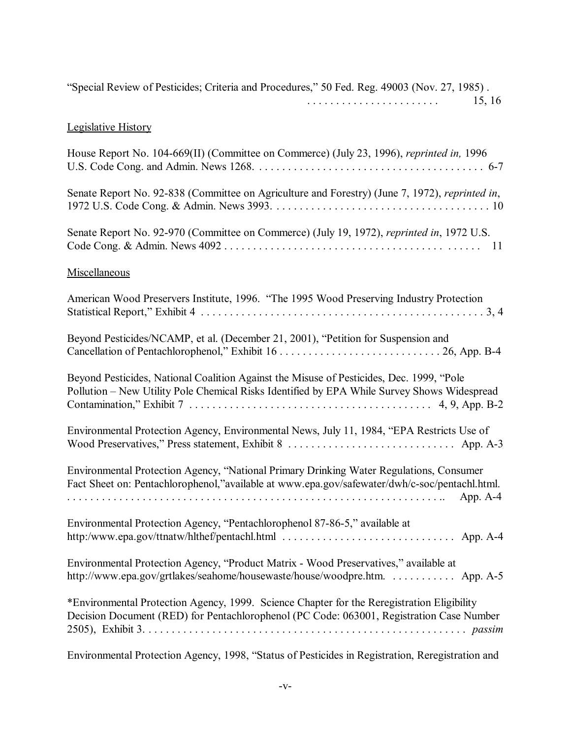| "Special Review of Pesticides; Criteria and Procedures," 50 Fed. Reg. 49003 (Nov. 27, 1985).<br>15, 16                                                                                   |
|------------------------------------------------------------------------------------------------------------------------------------------------------------------------------------------|
| <b>Legislative History</b>                                                                                                                                                               |
| House Report No. 104-669(II) (Committee on Commerce) (July 23, 1996), reprinted in, 1996                                                                                                 |
| Senate Report No. 92-838 (Committee on Agriculture and Forestry) (June 7, 1972), reprinted in,                                                                                           |
| Senate Report No. 92-970 (Committee on Commerce) (July 19, 1972), reprinted in, 1972 U.S.                                                                                                |
| Miscellaneous                                                                                                                                                                            |
| American Wood Preservers Institute, 1996. "The 1995 Wood Preserving Industry Protection                                                                                                  |
| Beyond Pesticides/NCAMP, et al. (December 21, 2001), "Petition for Suspension and                                                                                                        |
| Beyond Pesticides, National Coalition Against the Misuse of Pesticides, Dec. 1999, "Pole<br>Pollution - New Utility Pole Chemical Risks Identified by EPA While Survey Shows Widespread  |
| Environmental Protection Agency, Environmental News, July 11, 1984, "EPA Restricts Use of                                                                                                |
| Environmental Protection Agency, "National Primary Drinking Water Regulations, Consumer<br>Fact Sheet on: Pentachlorophenol,"available at www.epa.gov/safewater/dwh/c-soc/pentachl.html. |
| Environmental Protection Agency, "Pentachlorophenol 87-86-5," available at<br>http:/www.epa.gov/ttnatw/hlthef/pentachl.html  App. A-4                                                    |
| Environmental Protection Agency, "Product Matrix - Wood Preservatives," available at<br>http://www.epa.gov/grtlakes/seahome/housewaste/house/woodpre.htm. App. A-5                       |
| *Environmental Protection Agency, 1999. Science Chapter for the Reregistration Eligibility<br>Decision Document (RED) for Pentachlorophenol (PC Code: 063001, Registration Case Number   |
| Environmental Protection Agency, 1998, "Status of Pesticides in Registration, Reregistration and                                                                                         |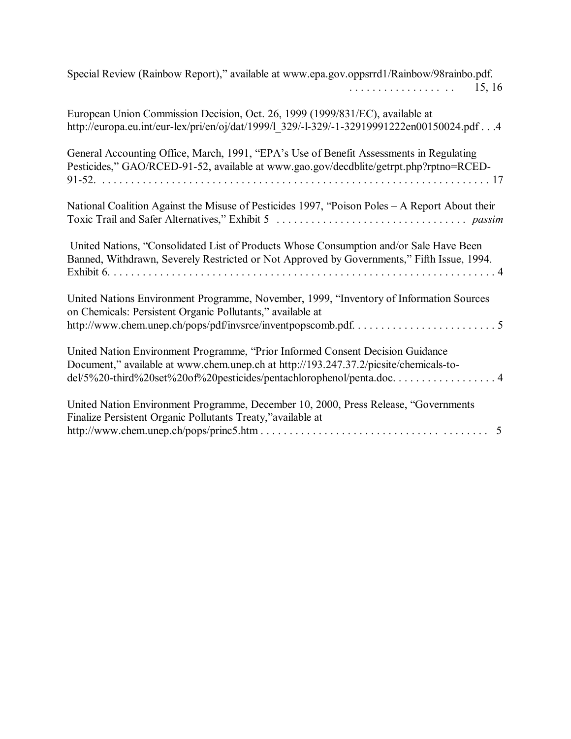| Special Review (Rainbow Report)," available at www.epa.gov.oppsrrd1/Rainbow/98rainbo.pdf.<br>15, 16<br>.                                                                                                                                       |
|------------------------------------------------------------------------------------------------------------------------------------------------------------------------------------------------------------------------------------------------|
| European Union Commission Decision, Oct. 26, 1999 (1999/831/EC), available at<br>http://europa.eu.int/eur-lex/pri/en/oj/dat/1999/1 329/-1-329/-1-32919991222en00150024.pdf4                                                                    |
| General Accounting Office, March, 1991, "EPA's Use of Benefit Assessments in Regulating<br>Pesticides," GAO/RCED-91-52, available at www.gao.gov/decdblite/getrpt.php?rptno=RCED-                                                              |
| National Coalition Against the Misuse of Pesticides 1997, "Poison Poles - A Report About their                                                                                                                                                 |
| United Nations, "Consolidated List of Products Whose Consumption and/or Sale Have Been<br>Banned, Withdrawn, Severely Restricted or Not Approved by Governments," Fifth Issue, 1994.                                                           |
| United Nations Environment Programme, November, 1999, "Inventory of Information Sources<br>on Chemicals: Persistent Organic Pollutants," available at                                                                                          |
| United Nation Environment Programme, "Prior Informed Consent Decision Guidance<br>Document," available at www.chem.unep.ch at http://193.247.37.2/picsite/chemicals-to-<br>del/5%20-third%20set%20of%20pesticides/pentachlorophenol/penta.doc4 |
| United Nation Environment Programme, December 10, 2000, Press Release, "Governments<br>Finalize Persistent Organic Pollutants Treaty," available at<br>5                                                                                       |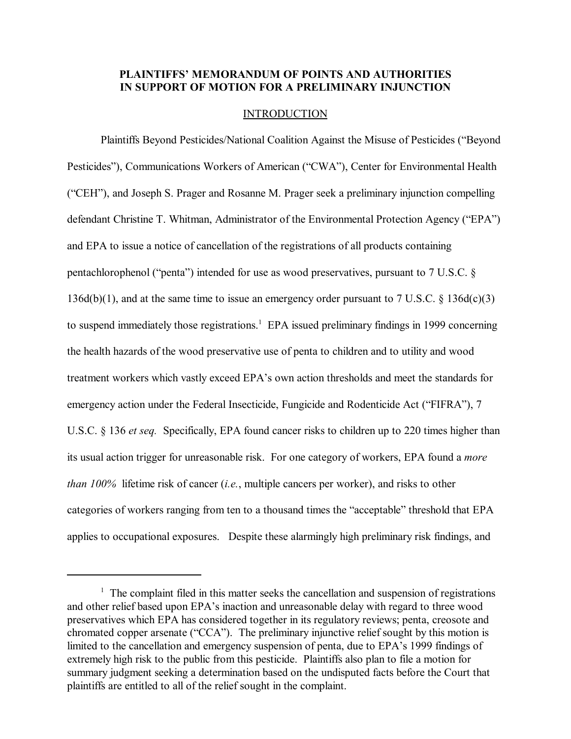## PLAINTIFFS' MEMORANDUM OF POINTS AND AUTHORITIES **IN SUPPORT OF MOTION FOR A PRELIMINARY INJUNCTION**

### INTRODUCTION

Plaintiffs Beyond Pesticides/National Coalition Against the Misuse of Pesticides ("Beyond Pesticides"), Communications Workers of American ("CWA"), Center for Environmental Health ("CEH"), and Joseph S. Prager and Rosanne M. Prager seek a preliminary injunction compelling defendant Christine T. Whitman, Administrator of the Environmental Protection Agency ("EPA") and EPA to issue a notice of cancellation of the registrations of all products containing pentachlorophenol ("penta") intended for use as wood preservatives, pursuant to  $7 \text{ U.S.C. }$  § 136d(b)(1), and at the same time to issue an emergency order pursuant to 7 U.S.C.  $\S$  136d(c)(3) to suspend immediately those registrations.<sup>1</sup> EPA issued preliminary findings in 1999 concerning the health hazards of the wood preservative use of penta to children and to utility and wood treatment workers which vastly exceed EPA's own action thresholds and meet the standards for emergency action under the Federal Insecticide, Fungicide and Rodenticide Act ("FIFRA"), 7 U.S.C. § 136 *et seq.* Specifically, EPA found cancer risks to children up to 220 times higher than its usual action trigger for unreasonable risk. For one category of workers, EPA found a *more than 100%* lifetime risk of cancer (*i.e.*, multiple cancers per worker), and risks to other categories of workers ranging from ten to a thousand times the "acceptable" threshold that EPA applies to occupational exposures. Despite these alarmingly high preliminary risk findings, and

<sup>&</sup>lt;sup>1</sup> The complaint filed in this matter seeks the cancellation and suspension of registrations and other relief based upon EPA's inaction and unreasonable delay with regard to three wood preservatives which EPA has considered together in its regulatory reviews; penta, creosote and chromated copper arsenate ( $CCA$ <sup>\*</sup>). The preliminary injunctive relief sought by this motion is limited to the cancellation and emergency suspension of penta, due to EPA's 1999 findings of extremely high risk to the public from this pesticide. Plaintiffs also plan to file a motion for summary judgment seeking a determination based on the undisputed facts before the Court that plaintiffs are entitled to all of the relief sought in the complaint.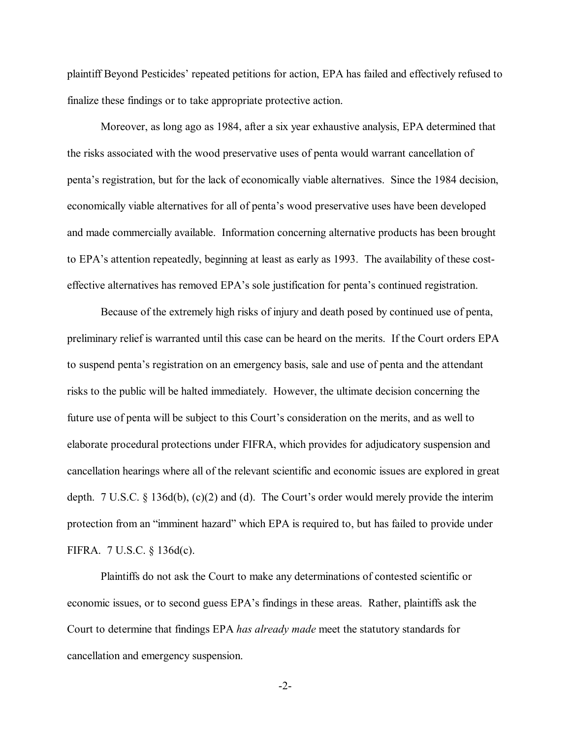plaintiff Beyond Pesticidesí repeated petitions for action, EPA has failed and effectively refused to finalize these findings or to take appropriate protective action.

Moreover, as long ago as 1984, after a six year exhaustive analysis, EPA determined that the risks associated with the wood preservative uses of penta would warrant cancellation of pentaís registration, but for the lack of economically viable alternatives. Since the 1984 decision, economically viable alternatives for all of penta's wood preservative uses have been developed and made commercially available. Information concerning alternative products has been brought to EPA's attention repeatedly, beginning at least as early as 1993. The availability of these costeffective alternatives has removed EPA's sole justification for penta's continued registration.

Because of the extremely high risks of injury and death posed by continued use of penta, preliminary relief is warranted until this case can be heard on the merits. If the Court orders EPA to suspend penta's registration on an emergency basis, sale and use of penta and the attendant risks to the public will be halted immediately. However, the ultimate decision concerning the future use of penta will be subject to this Court's consideration on the merits, and as well to elaborate procedural protections under FIFRA, which provides for adjudicatory suspension and cancellation hearings where all of the relevant scientific and economic issues are explored in great depth.  $7 U.S.C. \S 136d(b), (c)(2)$  and (d). The Court's order would merely provide the interim protection from an "imminent hazard" which EPA is required to, but has failed to provide under FIFRA. 7 U.S.C. ß 136d(c).

Plaintiffs do not ask the Court to make any determinations of contested scientific or economic issues, or to second guess EPA's findings in these areas. Rather, plaintiffs ask the Court to determine that findings EPA *has already made* meet the statutory standards for cancellation and emergency suspension.

-2-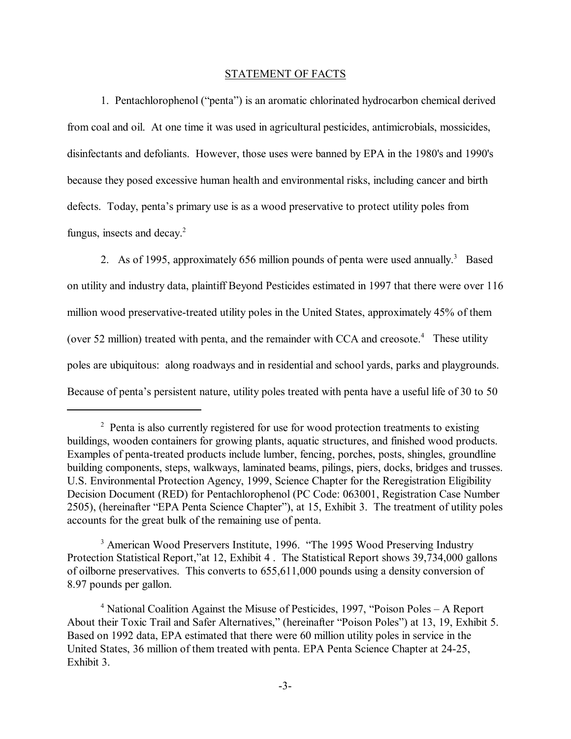#### STATEMENT OF FACTS

1. Pentachlorophenol ("penta") is an aromatic chlorinated hydrocarbon chemical derived from coal and oil. At one time it was used in agricultural pesticides, antimicrobials, mossicides, disinfectants and defoliants. However, those uses were banned by EPA in the 1980's and 1990's because they posed excessive human health and environmental risks, including cancer and birth defects. Today, penta's primary use is as a wood preservative to protect utility poles from fungus, insects and decay.<sup>2</sup>

2. As of 1995, approximately 656 million pounds of penta were used annually.<sup>3</sup> Based on utility and industry data, plaintiff Beyond Pesticides estimated in 1997 that there were over 116 million wood preservative-treated utility poles in the United States, approximately 45% of them (over 52 million) treated with penta, and the remainder with CCA and creosote.<sup>4</sup> These utility poles are ubiquitous: along roadways and in residential and school yards, parks and playgrounds. Because of penta's persistent nature, utility poles treated with penta have a useful life of 30 to 50

<sup>&</sup>lt;sup>2</sup> Penta is also currently registered for use for wood protection treatments to existing buildings, wooden containers for growing plants, aquatic structures, and finished wood products. Examples of penta-treated products include lumber, fencing, porches, posts, shingles, groundline building components, steps, walkways, laminated beams, pilings, piers, docks, bridges and trusses. U.S. Environmental Protection Agency, 1999, Science Chapter for the Reregistration Eligibility Decision Document (RED) for Pentachlorophenol (PC Code: 063001, Registration Case Number 2505), (hereinafter "EPA Penta Science Chapter"), at 15, Exhibit 3. The treatment of utility poles accounts for the great bulk of the remaining use of penta.

<sup>&</sup>lt;sup>3</sup> American Wood Preservers Institute, 1996. "The 1995 Wood Preserving Industry Protection Statistical Report," at 12, Exhibit 4. The Statistical Report shows 39,734,000 gallons of oilborne preservatives. This converts to 655,611,000 pounds using a density conversion of 8.97 pounds per gallon.

<sup>&</sup>lt;sup>4</sup> National Coalition Against the Misuse of Pesticides, 1997, *"Poison Poles – A Report* About their Toxic Trail and Safer Alternatives," (hereinafter "Poison Poles") at 13, 19, Exhibit 5. Based on 1992 data, EPA estimated that there were 60 million utility poles in service in the United States, 36 million of them treated with penta. EPA Penta Science Chapter at 24-25, Exhibit 3.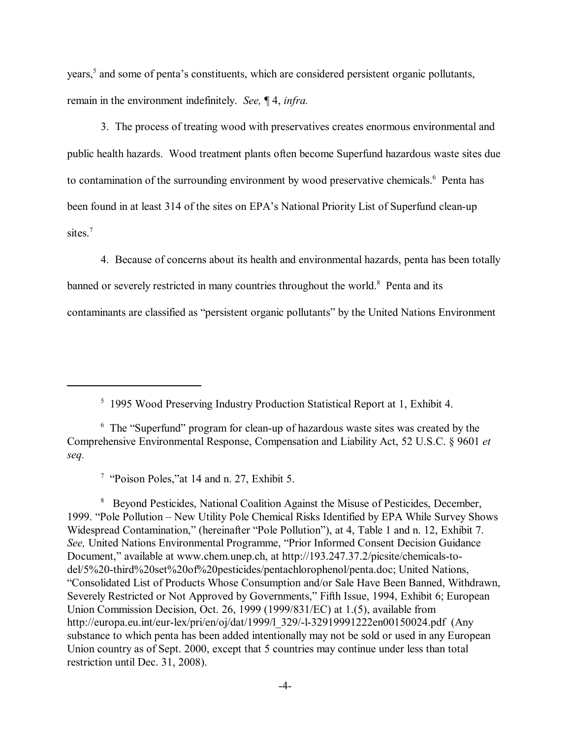years,<sup>5</sup> and some of penta's constituents, which are considered persistent organic pollutants, remain in the environment indefinitely. *See,* ¶ 4, *infra.*

3. The process of treating wood with preservatives creates enormous environmental and public health hazards.Wood treatment plants often become Superfund hazardous waste sites due to contamination of the surrounding environment by wood preservative chemicals.<sup>6</sup> Penta has been found in at least 314 of the sites on EPA's National Priority List of Superfund clean-up sites.<sup>7</sup>

4. Because of concerns about its health and environmental hazards, penta has been totally banned or severely restricted in many countries throughout the world.<sup>8</sup> Penta and its contaminants are classified as "persistent organic pollutants" by the United Nations Environment

<sup>5</sup> 1995 Wood Preserving Industry Production Statistical Report at 1, Exhibit 4.

<sup>7</sup> "Poison Poles," at 14 and n. 27, Exhibit 5.

<sup>8</sup> Beyond Pesticides, National Coalition Against the Misuse of Pesticides, December, 1999. "Pole Pollution – New Utility Pole Chemical Risks Identified by EPA While Survey Shows Widespread Contamination," (hereinafter "Pole Pollution"), at 4, Table 1 and n. 12, Exhibit 7. *See*, United Nations Environmental Programme, "Prior Informed Consent Decision Guidance Document," available at www.chem.unep.ch, at http://193.247.37.2/picsite/chemicals-todel/5%20-third%20set%20of%20pesticides/pentachlorophenol/penta.doc; United Nations, ìConsolidated List of Products Whose Consumption and/or Sale Have Been Banned, Withdrawn, Severely Restricted or Not Approved by Governments," Fifth Issue, 1994, Exhibit 6; European Union Commission Decision, Oct. 26, 1999 (1999/831/EC) at 1.(5), available from http://europa.eu.int/eur-lex/pri/en/oj/dat/1999/l\_329/-l-32919991222en00150024.pdf (Any substance to which penta has been added intentionally may not be sold or used in any European Union country as of Sept. 2000, except that 5 countries may continue under less than total restriction until Dec. 31, 2008).

 $6$  The "Superfund" program for clean-up of hazardous waste sites was created by the Comprehensive Environmental Response, Compensation and Liability Act, 52 U.S.C. ß 9601 *et seq.*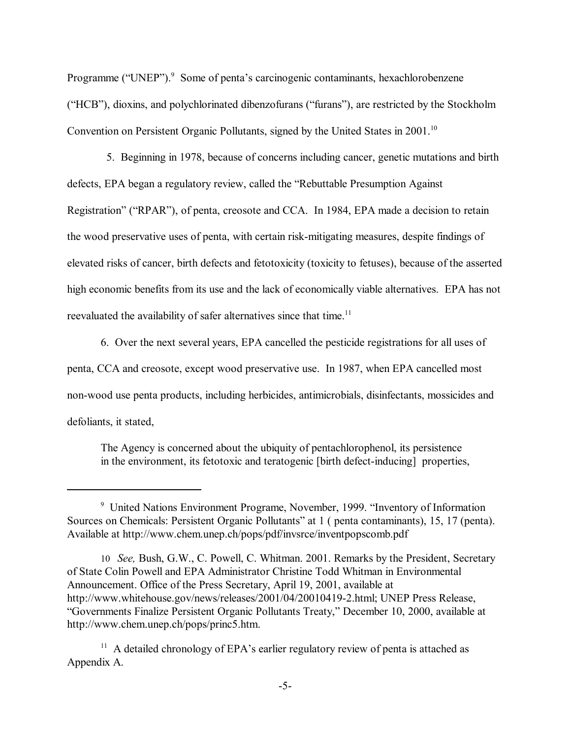Programme ("UNEP").<sup>9</sup> Some of penta's carcinogenic contaminants, hexachlorobenzene ("HCB"), dioxins, and polychlorinated dibenzofurans ("furans"), are restricted by the Stockholm Convention on Persistent Organic Pollutants, signed by the United States in 2001.<sup>10</sup>

 5. Beginning in 1978, because of concerns including cancer, genetic mutations and birth defects, EPA began a regulatory review, called the "Rebuttable Presumption Against Registration" ("RPAR"), of penta, creosote and CCA. In 1984, EPA made a decision to retain the wood preservative uses of penta, with certain risk-mitigating measures, despite findings of elevated risks of cancer, birth defects and fetotoxicity (toxicity to fetuses), because of the asserted high economic benefits from its use and the lack of economically viable alternatives. EPA has not reevaluated the availability of safer alternatives since that time.<sup>11</sup>

6. Over the next several years, EPA cancelled the pesticide registrations for all uses of penta, CCA and creosote, except wood preservative use. In 1987, when EPA cancelled most non-wood use penta products, including herbicides, antimicrobials, disinfectants, mossicides and defoliants, it stated,

The Agency is concerned about the ubiquity of pentachlorophenol, its persistence in the environment, its fetotoxic and teratogenic [birth defect-inducing] properties,

<sup>&</sup>lt;sup>9</sup> United Nations Environment Programe, November, 1999. "Inventory of Information Sources on Chemicals: Persistent Organic Pollutants<sup>"</sup> at 1 ( penta contaminants), 15, 17 (penta). Available at http://www.chem.unep.ch/pops/pdf/invsrce/inventpopscomb.pdf

<sup>10</sup> *See,* Bush, G.W., C. Powell, C. Whitman. 2001. Remarks by the President, Secretary of State Colin Powell and EPA Administrator Christine Todd Whitman in Environmental Announcement. Office of the Press Secretary, April 19, 2001, available at http://www.whitehouse.gov/news/releases/2001/04/20010419-2.html; UNEP Press Release, ìGovernments Finalize Persistent Organic Pollutants Treaty,î December 10, 2000, available at http://www.chem.unep.ch/pops/princ5.htm.

 $11$  A detailed chronology of EPA's earlier regulatory review of penta is attached as Appendix A.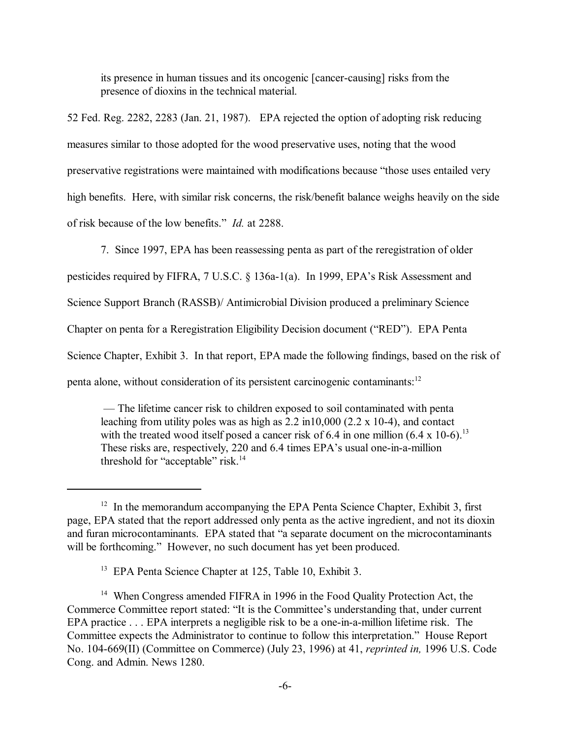its presence in human tissues and its oncogenic [cancer-causing] risks from the presence of dioxins in the technical material.

52 Fed. Reg. 2282, 2283 (Jan. 21, 1987). EPA rejected the option of adopting risk reducing measures similar to those adopted for the wood preservative uses, noting that the wood preservative registrations were maintained with modifications because "those uses entailed very high benefits. Here, with similar risk concerns, the risk/benefit balance weighs heavily on the side of risk because of the low benefits.<sup>"</sup> *Id.* at 2288.

7. Since 1997, EPA has been reassessing penta as part of the reregistration of older

pesticides required by FIFRA, 7 U.S.C. § 136a-1(a). In 1999, EPA's Risk Assessment and

Science Support Branch (RASSB)/ Antimicrobial Division produced a preliminary Science

Chapter on penta for a Reregistration Eligibility Decision document ("RED"). EPA Penta

Science Chapter, Exhibit 3. In that report, EPA made the following findings, based on the risk of

penta alone, without consideration of its persistent carcinogenic contaminants:12

 ó The lifetime cancer risk to children exposed to soil contaminated with penta leaching from utility poles was as high as 2.2 in10,000 (2.2 x 10-4), and contact with the treated wood itself posed a cancer risk of 6.4 in one million  $(6.4 \times 10^{-6})^{13}$ These risks are, respectively, 220 and 6.4 times EPA's usual one-in-a-million threshold for "acceptable" risk. $14$ 

<sup>&</sup>lt;sup>12</sup> In the memorandum accompanying the EPA Penta Science Chapter, Exhibit 3, first page, EPA stated that the report addressed only penta as the active ingredient, and not its dioxin and furan microcontaminants. EPA stated that "a separate document on the microcontaminants will be forthcoming." However, no such document has yet been produced.

<sup>&</sup>lt;sup>13</sup> EPA Penta Science Chapter at 125, Table 10, Exhibit 3.

<sup>&</sup>lt;sup>14</sup> When Congress amended FIFRA in 1996 in the Food Quality Protection Act, the Commerce Committee report stated: "It is the Committee's understanding that, under current EPA practice . . . EPA interprets a negligible risk to be a one-in-a-million lifetime risk. The Committee expects the Administrator to continue to follow this interpretation." House Report No. 104-669(II) (Committee on Commerce) (July 23, 1996) at 41, *reprinted in,* 1996 U.S. Code Cong. and Admin. News 1280.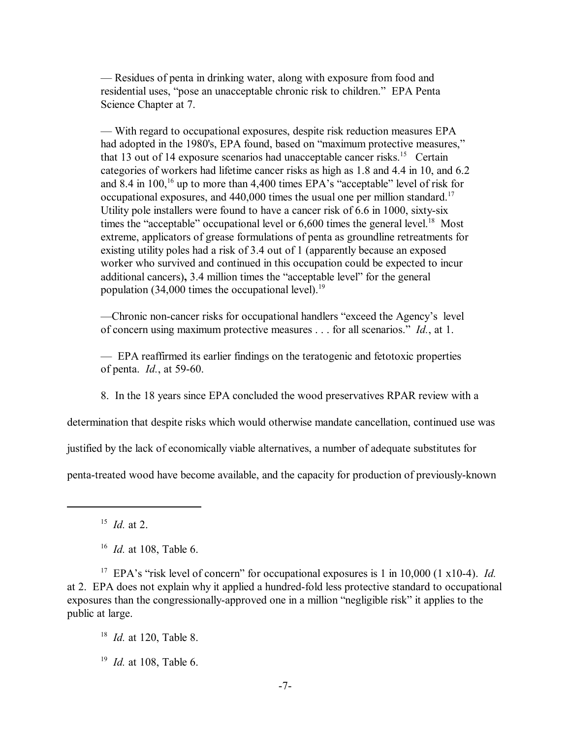— Residues of penta in drinking water, along with exposure from food and residential uses, "pose an unacceptable chronic risk to children." EPA Penta Science Chapter at 7.

ó With regard to occupational exposures, despite risk reduction measures EPA had adopted in the 1980's, EPA found, based on "maximum protective measures," that 13 out of 14 exposure scenarios had unacceptable cancer risks.<sup>15</sup> Certain categories of workers had lifetime cancer risks as high as 1.8 and 4.4 in 10, and 6.2 and 8.4 in  $100$ , <sup>16</sup> up to more than 4,400 times EPA's "acceptable" level of risk for occupational exposures, and  $440,000$  times the usual one per million standard.<sup>17</sup> Utility pole installers were found to have a cancer risk of 6.6 in 1000, sixty-six times the "acceptable" occupational level or  $6,600$  times the general level.<sup>18</sup> Most extreme, applicators of grease formulations of penta as groundline retreatments for existing utility poles had a risk of 3.4 out of 1 (apparently because an exposed worker who survived and continued in this occupation could be expected to incur additional cancers), 3.4 million times the "acceptable level" for the general population (34,000 times the occupational level).<sup>19</sup>

—Chronic non-cancer risks for occupational handlers "exceed the Agency's level of concern using maximum protective measures . . . for all scenarios." *Id.*, at 1.

ó EPA reaffirmed its earlier findings on the teratogenic and fetotoxic properties of penta. *Id.*, at 59-60.

8. In the 18 years since EPA concluded the wood preservatives RPAR review with a

determination that despite risks which would otherwise mandate cancellation, continued use was

justified by the lack of economically viable alternatives, a number of adequate substitutes for

penta-treated wood have become available, and the capacity for production of previously-known

15 *Id.* at 2.

<sup>17</sup> EPA's "risk level of concern" for occupational exposures is 1 in 10,000 (1 x10-4). *Id.* at 2. EPA does not explain why it applied a hundred-fold less protective standard to occupational exposures than the congressionally-approved one in a million "negligible risk" it applies to the public at large.

18 *Id.* at 120, Table 8.

19 *Id.* at 108, Table 6.

<sup>16</sup> *Id.* at 108, Table 6.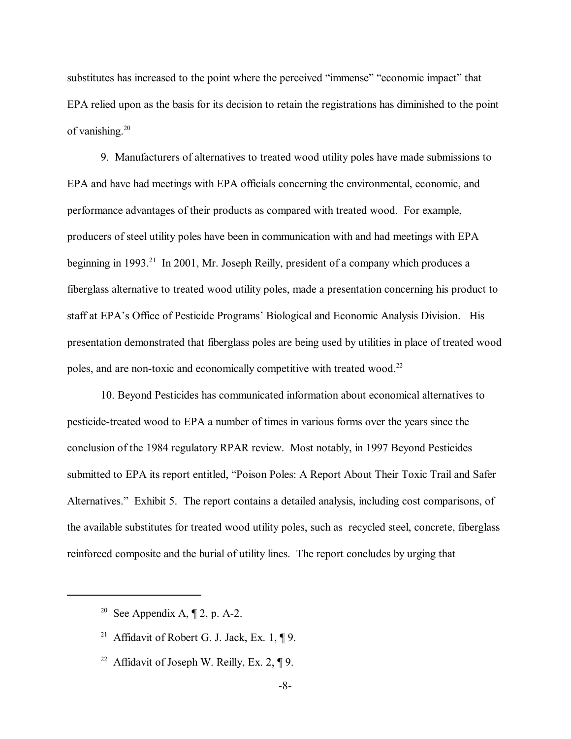substitutes has increased to the point where the perceived "immense" "economic impact" that EPA relied upon as the basis for its decision to retain the registrations has diminished to the point of vanishing.20

9. Manufacturers of alternatives to treated wood utility poles have made submissions to EPA and have had meetings with EPA officials concerning the environmental, economic, and performance advantages of their products as compared with treated wood. For example, producers of steel utility poles have been in communication with and had meetings with EPA beginning in 1993.<sup>21</sup> In 2001, Mr. Joseph Reilly, president of a company which produces a fiberglass alternative to treated wood utility poles, made a presentation concerning his product to staff at EPA's Office of Pesticide Programs' Biological and Economic Analysis Division. His presentation demonstrated that fiberglass poles are being used by utilities in place of treated wood poles, and are non-toxic and economically competitive with treated wood.<sup>22</sup>

10. Beyond Pesticides has communicated information about economical alternatives to pesticide-treated wood to EPA a number of times in various forms over the years since the conclusion of the 1984 regulatory RPAR review. Most notably, in 1997 Beyond Pesticides submitted to EPA its report entitled, "Poison Poles: A Report About Their Toxic Trail and Safer Alternatives." Exhibit 5. The report contains a detailed analysis, including cost comparisons, of the available substitutes for treated wood utility poles, such as recycled steel, concrete, fiberglass reinforced composite and the burial of utility lines. The report concludes by urging that

<sup>&</sup>lt;sup>20</sup> See Appendix A,  $\P$  2, p. A-2.

<sup>&</sup>lt;sup>21</sup> Affidavit of Robert G. J. Jack, Ex. 1,  $\P$ 9.

<sup>&</sup>lt;sup>22</sup> Affidavit of Joseph W. Reilly, Ex. 2,  $\P$  9.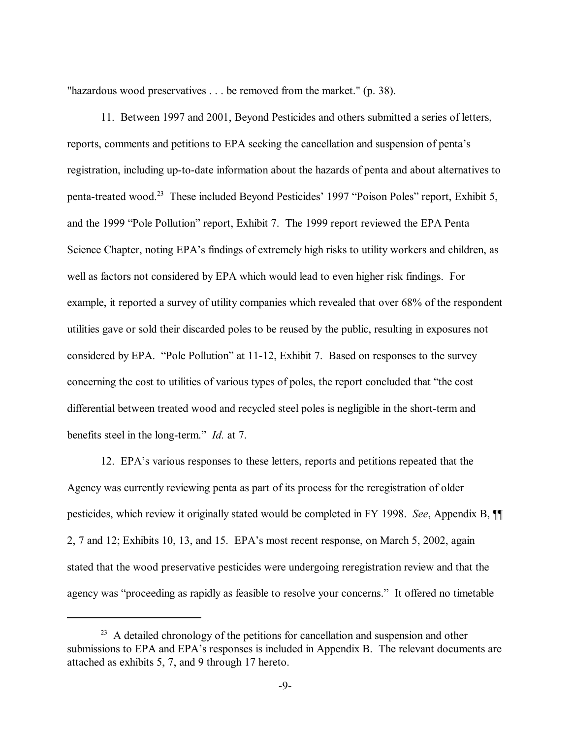"hazardous wood preservatives . . . be removed from the market." (p. 38).

11. Between 1997 and 2001, Beyond Pesticides and others submitted a series of letters, reports, comments and petitions to EPA seeking the cancellation and suspension of penta's registration, including up-to-date information about the hazards of penta and about alternatives to penta-treated wood.<sup>23</sup> These included Beyond Pesticides' 1997 "Poison Poles" report, Exhibit 5, and the 1999 "Pole Pollution" report, Exhibit 7. The 1999 report reviewed the EPA Penta Science Chapter, noting EPA's findings of extremely high risks to utility workers and children, as well as factors not considered by EPA which would lead to even higher risk findings. For example, it reported a survey of utility companies which revealed that over 68% of the respondent utilities gave or sold their discarded poles to be reused by the public, resulting in exposures not considered by EPA. "Pole Pollution" at 11-12, Exhibit 7. Based on responses to the survey concerning the cost to utilities of various types of poles, the report concluded that "the cost differential between treated wood and recycled steel poles is negligible in the short-term and benefits steel in the long-term.<sup>n</sup> *Id.* at 7.

12. EPA's various responses to these letters, reports and petitions repeated that the Agency was currently reviewing penta as part of its process for the reregistration of older pesticides, which review it originally stated would be completed in FY 1998. *See*, Appendix B, ¶¶ 2, 7 and 12; Exhibits 10, 13, and 15. EPA's most recent response, on March 5, 2002, again stated that the wood preservative pesticides were undergoing reregistration review and that the agency was "proceeding as rapidly as feasible to resolve your concerns." It offered no timetable

<sup>&</sup>lt;sup>23</sup> A detailed chronology of the petitions for cancellation and suspension and other submissions to EPA and EPA's responses is included in Appendix B. The relevant documents are attached as exhibits 5, 7, and 9 through 17 hereto.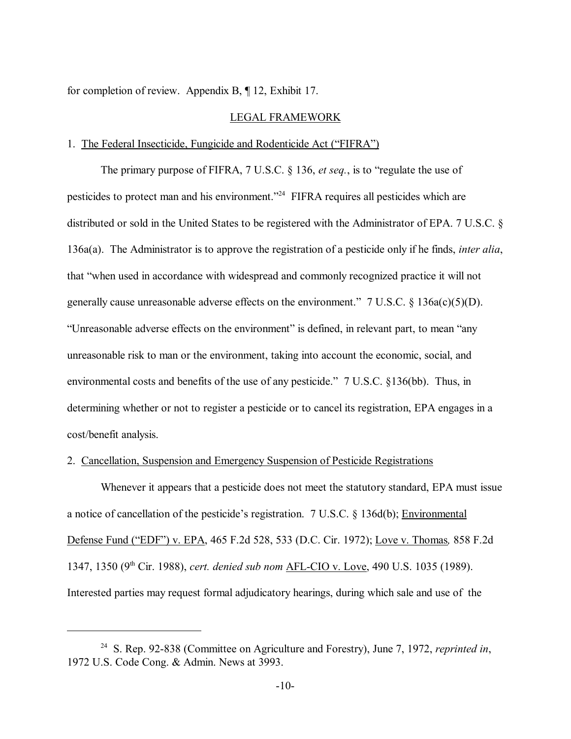for completion of review. Appendix B, ¶ 12, Exhibit 17.

### LEGAL FRAMEWORK

### 1. The Federal Insecticide, Fungicide and Rodenticide Act ("FIFRA")

The primary purpose of FIFRA, 7 U.S.C. § 136, *et seq.*, is to "regulate the use of pesticides to protect man and his environment.<sup> $24$ </sup> FIFRA requires all pesticides which are distributed or sold in the United States to be registered with the Administrator of EPA. 7 U.S.C. ß 136a(a). The Administrator is to approve the registration of a pesticide only if he finds, *inter alia*, that "when used in accordance with widespread and commonly recognized practice it will not generally cause unreasonable adverse effects on the environment."  $7 \text{ U.S.C. } § 136a(c)(5)(D)$ . "Unreasonable adverse effects on the environment" is defined, in relevant part, to mean "any unreasonable risk to man or the environment, taking into account the economic, social, and environmental costs and benefits of the use of any pesticide." 7 U.S.C. §136(bb). Thus, in determining whether or not to register a pesticide or to cancel its registration, EPA engages in a cost/benefit analysis.

### 2. Cancellation, Suspension and Emergency Suspension of Pesticide Registrations

Whenever it appears that a pesticide does not meet the statutory standard, EPA must issue a notice of cancellation of the pesticide's registration.  $7 \text{ U.S.C.} \& 136d(b)$ ; Environmental Defense Fund (ìEDFî) v. EPA, 465 F.2d 528, 533 (D.C. Cir. 1972); Love v. Thomas*,* 858 F.2d 1347, 1350 (9th Cir. 1988), *cert. denied sub nom* AFL-CIO v. Love, 490 U.S. 1035 (1989). Interested parties may request formal adjudicatory hearings, during which sale and use of the

<sup>24</sup> S. Rep. 92-838 (Committee on Agriculture and Forestry), June 7, 1972, *reprinted in*, 1972 U.S. Code Cong. & Admin. News at 3993.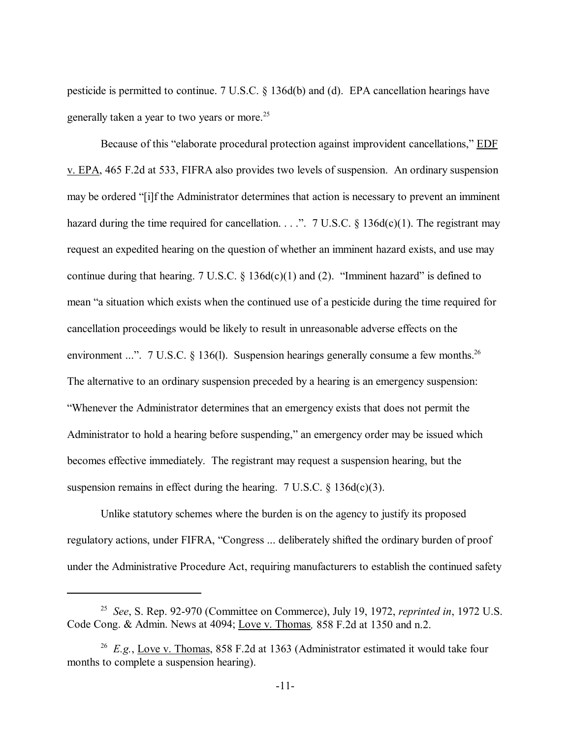pesticide is permitted to continue. 7 U.S.C. ß 136d(b) and (d). EPA cancellation hearings have generally taken a year to two years or more.<sup>25</sup>

Because of this "elaborate procedural protection against improvident cancellations," EDF v. EPA, 465 F.2d at 533, FIFRA also provides two levels of suspension. An ordinary suspension may be ordered "[i]f the Administrator determines that action is necessary to prevent an imminent hazard during the time required for cancellation. . . ...  $\frac{7 \text{ U.S.C. } }{3}$  136d(c)(1). The registrant may request an expedited hearing on the question of whether an imminent hazard exists, and use may continue during that hearing. 7 U.S.C.  $\S$  136d(c)(1) and (2). "Imminent hazard" is defined to mean "a situation which exists when the continued use of a pesticide during the time required for cancellation proceedings would be likely to result in unreasonable adverse effects on the environment ...". 7 U.S.C.  $\S$  136(1). Suspension hearings generally consume a few months.<sup>26</sup> The alternative to an ordinary suspension preceded by a hearing is an emergency suspension: ìWhenever the Administrator determines that an emergency exists that does not permit the Administrator to hold a hearing before suspending," an emergency order may be issued which becomes effective immediately. The registrant may request a suspension hearing, but the suspension remains in effect during the hearing. 7 U.S.C.  $\S$  136d(c)(3).

Unlike statutory schemes where the burden is on the agency to justify its proposed regulatory actions, under FIFRA, "Congress ... deliberately shifted the ordinary burden of proof under the Administrative Procedure Act, requiring manufacturers to establish the continued safety

<sup>25</sup> *See*, S. Rep. 92-970 (Committee on Commerce), July 19, 1972, *reprinted in*, 1972 U.S. Code Cong. & Admin. News at 4094; Love v. Thomas*,* 858 F.2d at 1350 and n.2.

<sup>26</sup> *E.g.*, Love v. Thomas, 858 F.2d at 1363 (Administrator estimated it would take four months to complete a suspension hearing).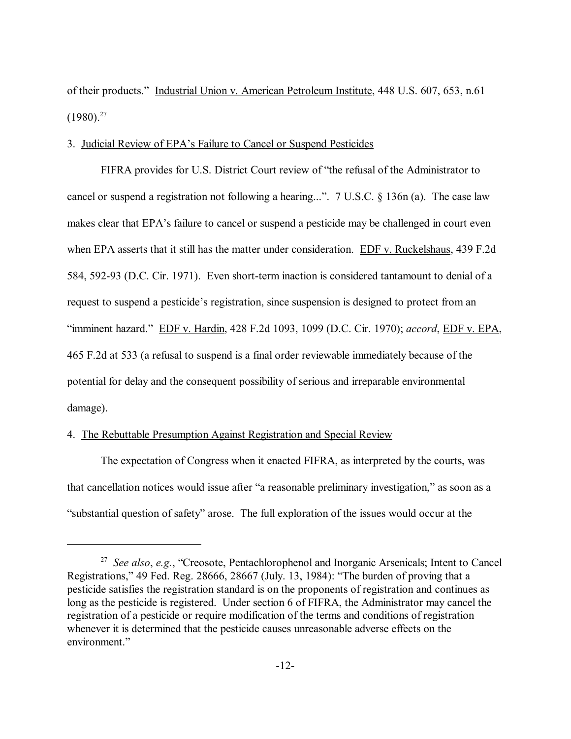of their products." Industrial Union v. American Petroleum Institute, 448 U.S. 607, 653, n.61  $(1980)^{27}$ 

### 3. Judicial Review of EPA's Failure to Cancel or Suspend Pesticides

FIFRA provides for U.S. District Court review of "the refusal of the Administrator to cancel or suspend a registration not following a hearing...".  $7 \text{ U.S.C. }$  \$136n (a). The case law makes clear that EPA's failure to cancel or suspend a pesticide may be challenged in court even when EPA asserts that it still has the matter under consideration. EDF v. Ruckelshaus, 439 F.2d 584, 592-93 (D.C. Cir. 1971). Even short-term inaction is considered tantamount to denial of a request to suspend a pesticide's registration, since suspension is designed to protect from an ìimminent hazard.î EDF v. Hardin, 428 F.2d 1093, 1099 (D.C. Cir. 1970); *accord*, EDF v. EPA, 465 F.2d at 533 (a refusal to suspend is a final order reviewable immediately because of the potential for delay and the consequent possibility of serious and irreparable environmental damage).

### 4. The Rebuttable Presumption Against Registration and Special Review

The expectation of Congress when it enacted FIFRA, as interpreted by the courts, was that cancellation notices would issue after "a reasonable preliminary investigation," as soon as a "substantial question of safety" arose. The full exploration of the issues would occur at the

<sup>&</sup>lt;sup>27</sup> *See also, e.g.*, "Creosote, Pentachlorophenol and Inorganic Arsenicals; Intent to Cancel Registrations," 49 Fed. Reg. 28666, 28667 (July. 13, 1984): "The burden of proving that a pesticide satisfies the registration standard is on the proponents of registration and continues as long as the pesticide is registered. Under section 6 of FIFRA, the Administrator may cancel the registration of a pesticide or require modification of the terms and conditions of registration whenever it is determined that the pesticide causes unreasonable adverse effects on the environment."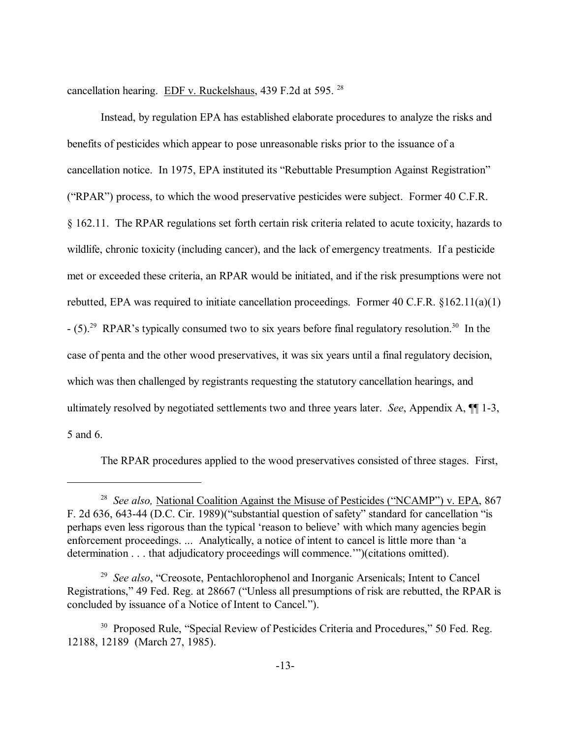cancellation hearing. EDF v. Ruckelshaus, 439 F.2d at 595. 28

Instead, by regulation EPA has established elaborate procedures to analyze the risks and benefits of pesticides which appear to pose unreasonable risks prior to the issuance of a cancellation notice. In 1975, EPA instituted its "Rebuttable Presumption Against Registration" ( $RPAR$ ) process, to which the wood preservative pesticides were subject. Former 40 C.F.R. ß 162.11. The RPAR regulations set forth certain risk criteria related to acute toxicity, hazards to wildlife, chronic toxicity (including cancer), and the lack of emergency treatments. If a pesticide met or exceeded these criteria, an RPAR would be initiated, and if the risk presumptions were not rebutted, EPA was required to initiate cancellation proceedings. Former 40 C.F.R. ß162.11(a)(1)  $-$  (5).<sup>29</sup> RPAR's typically consumed two to six years before final regulatory resolution.<sup>30</sup> In the case of penta and the other wood preservatives, it was six years until a final regulatory decision, which was then challenged by registrants requesting the statutory cancellation hearings, and ultimately resolved by negotiated settlements two and three years later. *See*, Appendix A, ¶¶ 1-3, 5 and 6.

The RPAR procedures applied to the wood preservatives consisted of three stages. First,

<sup>&</sup>lt;sup>28</sup> *See also*, National Coalition Against the Misuse of Pesticides ("NCAMP") v. EPA, 867 F. 2d 636, 643-44 (D.C. Cir. 1989) ("substantial question of safety" standard for cancellation "is perhaps even less rigorous than the typical 'reason to believe' with which many agencies begin enforcement proceedings. ... Analytically, a notice of intent to cancel is little more than ëa determination . . . that adjudicatory proceedings will commence.""(citations omitted).

<sup>&</sup>lt;sup>29</sup> *See also*, "Creosote, Pentachlorophenol and Inorganic Arsenicals; Intent to Cancel Registrations," 49 Fed. Reg. at 28667 ("Unless all presumptions of risk are rebutted, the RPAR is concluded by issuance of a Notice of Intent to Cancel.").

<sup>&</sup>lt;sup>30</sup> Proposed Rule, "Special Review of Pesticides Criteria and Procedures," 50 Fed. Reg. 12188, 12189 (March 27, 1985).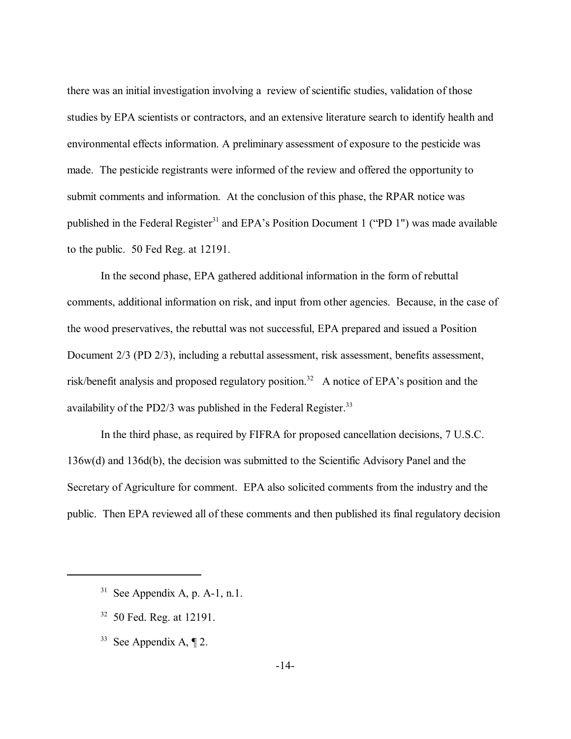there was an initial investigation involving a review of scientific studies, validation of those studies by EPA scientists or contractors, and an extensive literature search to identify health and environmental effects information. A preliminary assessment of exposure to the pesticide was made. The pesticide registrants were informed of the review and offered the opportunity to submit comments and information. At the conclusion of this phase, the RPAR notice was published in the Federal Register<sup>31</sup> and EPA's Position Document 1 ( $P$ D 1") was made available to the public. 50 Fed Reg. at 12191.

In the second phase, EPA gathered additional information in the form of rebuttal comments, additional information on risk, and input from other agencies. Because, in the case of the wood preservatives, the rebuttal was not successful, EPA prepared and issued a Position Document 2/3 (PD 2/3), including a rebuttal assessment, risk assessment, benefits assessment, risk/benefit analysis and proposed regulatory position.<sup>32</sup> A notice of EPA's position and the availability of the PD2/3 was published in the Federal Register.<sup>33</sup>

In the third phase, as required by FIFRA for proposed cancellation decisions, 7 U.S.C. 136w(d) and 136d(b), the decision was submitted to the Scientific Advisory Panel and the Secretary of Agriculture for comment. EPA also solicited comments from the industry and the public. Then EPA reviewed all of these comments and then published its final regulatory decision

- 32 50 Fed. Reg. at 12191.
- <sup>33</sup> See Appendix A,  $\P$  2.

<sup>&</sup>lt;sup>31</sup> See Appendix A, p. A-1, n.1.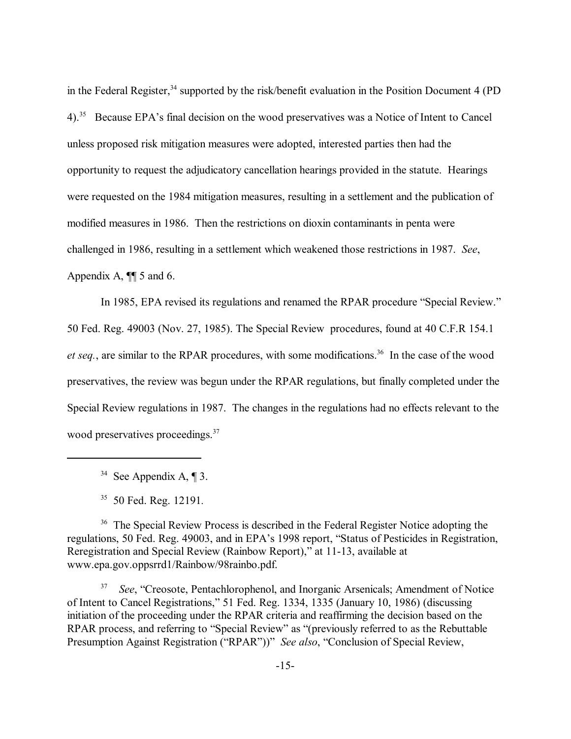in the Federal Register,<sup>34</sup> supported by the risk/benefit evaluation in the Position Document 4 (PD) 4).<sup>35</sup> Because EPA's final decision on the wood preservatives was a Notice of Intent to Cancel unless proposed risk mitigation measures were adopted, interested parties then had the opportunity to request the adjudicatory cancellation hearings provided in the statute. Hearings were requested on the 1984 mitigation measures, resulting in a settlement and the publication of modified measures in 1986. Then the restrictions on dioxin contaminants in penta were challenged in 1986, resulting in a settlement which weakened those restrictions in 1987. *See*, Appendix A, ¶¶ 5 and 6.

In 1985, EPA revised its regulations and renamed the RPAR procedure "Special Review." 50 Fed. Reg. 49003 (Nov. 27, 1985). The Special Review procedures, found at 40 C.F.R 154.1 *et seq.*, are similar to the RPAR procedures, with some modifications.<sup>36</sup> In the case of the wood preservatives, the review was begun under the RPAR regulations, but finally completed under the Special Review regulations in 1987. The changes in the regulations had no effects relevant to the wood preservatives proceedings.<sup>37</sup>

<sup>34</sup> See Appendix A,  $\P$  3.

35 50 Fed. Reg. 12191*.*

<sup>36</sup> The Special Review Process is described in the Federal Register Notice adopting the regulations, 50 Fed. Reg. 49003, and in EPA's 1998 report, "Status of Pesticides in Registration, Reregistration and Special Review (Rainbow Report)," at 11-13, available at www.epa.gov.oppsrrd1/Rainbow/98rainbo.pdf.

<sup>37</sup> *See*, "Creosote, Pentachlorophenol, and Inorganic Arsenicals; Amendment of Notice of Intent to Cancel Registrations," 51 Fed. Reg. 1334, 1335 (January 10, 1986) (discussing initiation of the proceeding under the RPAR criteria and reaffirming the decision based on the RPAR process, and referring to "Special Review" as "(previously referred to as the Rebuttable Presumption Against Registration ("RPAR"))" *See also*, "Conclusion of Special Review,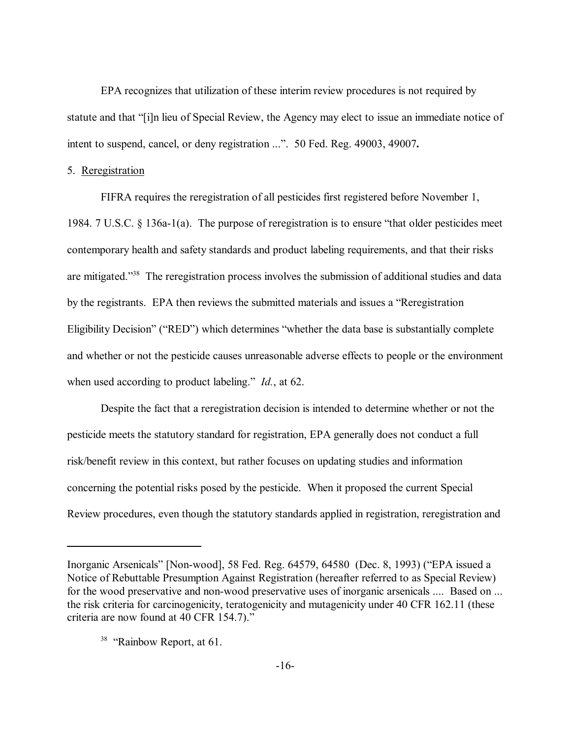EPA recognizes that utilization of these interim review procedures is not required by statute and that "[i]n lieu of Special Review, the Agency may elect to issue an immediate notice of intent to suspend, cancel, or deny registration ...". 50 Fed. Reg. 49003, 49007.

### 5. Reregistration

FIFRA requires the reregistration of all pesticides first registered before November 1, 1984. 7 U.S.C.  $\S$  136a-1(a). The purpose of reregistration is to ensure "that older pesticides meet contemporary health and safety standards and product labeling requirements, and that their risks are mitigated.<sup>338</sup> The reregistration process involves the submission of additional studies and data by the registrants. EPA then reviews the submitted materials and issues a "Reregistration" Eligibility Decision" ("RED") which determines "whether the data base is substantially complete and whether or not the pesticide causes unreasonable adverse effects to people or the environment when used according to product labeling.<sup>*n*</sup> *Id.*, at 62.

Despite the fact that a reregistration decision is intended to determine whether or not the pesticide meets the statutory standard for registration, EPA generally does not conduct a full risk/benefit review in this context, but rather focuses on updating studies and information concerning the potential risks posed by the pesticide. When it proposed the current Special Review procedures, even though the statutory standards applied in registration, reregistration and

Inorganic Arsenicals" [Non-wood], 58 Fed. Reg. 64579, 64580 (Dec. 8, 1993) ("EPA issued a Notice of Rebuttable Presumption Against Registration (hereafter referred to as Special Review) for the wood preservative and non-wood preservative uses of inorganic arsenicals .... Based on ... the risk criteria for carcinogenicity, teratogenicity and mutagenicity under 40 CFR 162.11 (these criteria are now found at 40 CFR 154.7).<sup>"</sup>

 $38$  "Rainbow Report, at 61.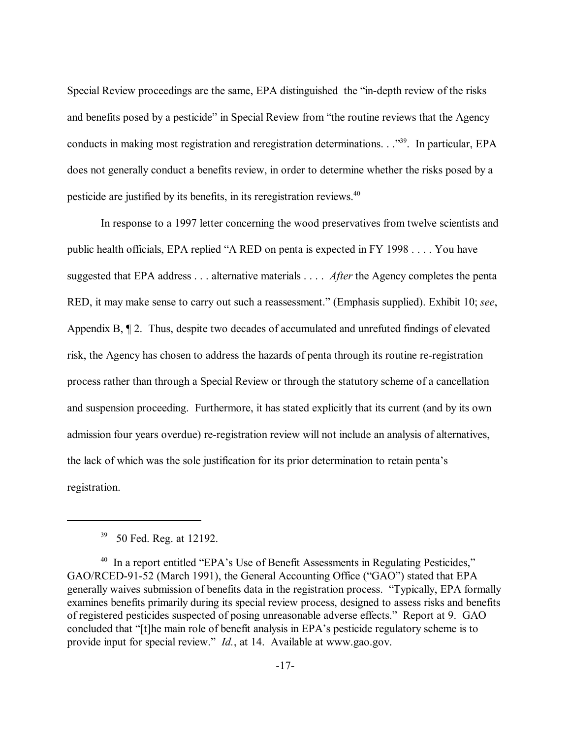Special Review proceedings are the same, EPA distinguished the "in-depth review of the risks" and benefits posed by a pesticide" in Special Review from "the routine reviews that the Agency conducts in making most registration and reregistration determinations. . .<sup>339</sup>. In particular, EPA does not generally conduct a benefits review, in order to determine whether the risks posed by a pesticide are justified by its benefits, in its reregistration reviews.<sup>40</sup>

In response to a 1997 letter concerning the wood preservatives from twelve scientists and public health officials, EPA replied "A RED on penta is expected in FY 1998  $\dots$ . You have suggested that EPA address . . . alternative materials . . . . *After* the Agency completes the penta RED, it may make sense to carry out such a reassessment." (Emphasis supplied). Exhibit 10; *see*, Appendix B, ¶ 2. Thus, despite two decades of accumulated and unrefuted findings of elevated risk, the Agency has chosen to address the hazards of penta through its routine re-registration process rather than through a Special Review or through the statutory scheme of a cancellation and suspension proceeding. Furthermore, it has stated explicitly that its current (and by its own admission four years overdue) re-registration review will not include an analysis of alternatives, the lack of which was the sole justification for its prior determination to retain penta's registration.

<sup>&</sup>lt;sup>39</sup> 50 Fed. Reg. at 12192.

 $40$  In a report entitled "EPA's Use of Benefit Assessments in Regulating Pesticides," GAO/RCED-91-52 (March 1991), the General Accounting Office ("GAO") stated that EPA generally waives submission of benefits data in the registration process. "Typically, EPA formally examines benefits primarily during its special review process, designed to assess risks and benefits of registered pesticides suspected of posing unreasonable adverse effects." Report at 9. GAO concluded that "[t]he main role of benefit analysis in EPA's pesticide regulatory scheme is to provide input for special review.<sup>"</sup> *Id.*, at 14. Available at www.gao.gov.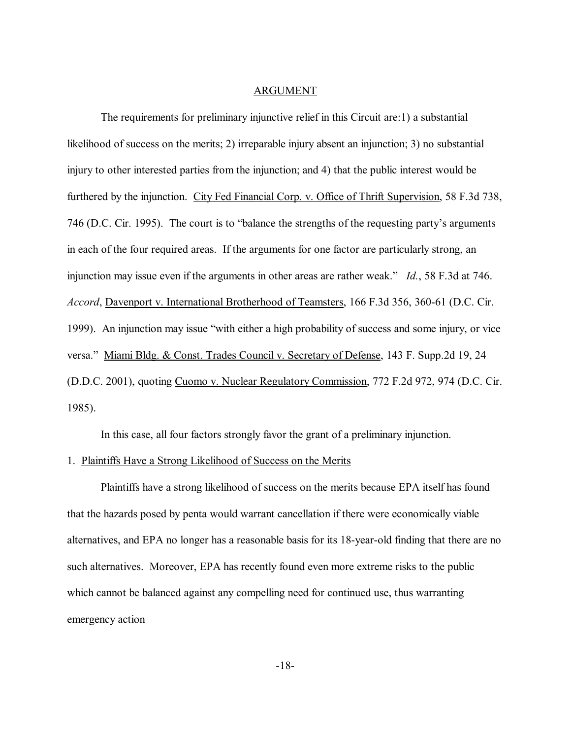#### ARGUMENT

The requirements for preliminary injunctive relief in this Circuit are:1) a substantial likelihood of success on the merits; 2) irreparable injury absent an injunction; 3) no substantial injury to other interested parties from the injunction; and 4) that the public interest would be furthered by the injunction. City Fed Financial Corp. v. Office of Thrift Supervision, 58 F.3d 738, 746 (D.C. Cir. 1995). The court is to "balance the strengths of the requesting party's arguments in each of the four required areas. If the arguments for one factor are particularly strong, an injunction may issue even if the arguments in other areas are rather weak." *Id.*, 58 F.3d at 746. *Accord*, Davenport v. International Brotherhood of Teamsters, 166 F.3d 356, 360-61 (D.C. Cir. 1999). An injunction may issue "with either a high probability of success and some injury, or vice versa." Miami Bldg. & Const. Trades Council v. Secretary of Defense, 143 F. Supp.2d 19, 24 (D.D.C. 2001), quoting Cuomo v. Nuclear Regulatory Commission, 772 F.2d 972, 974 (D.C. Cir. 1985).

In this case, all four factors strongly favor the grant of a preliminary injunction.

#### 1. Plaintiffs Have a Strong Likelihood of Success on the Merits

Plaintiffs have a strong likelihood of success on the merits because EPA itself has found that the hazards posed by penta would warrant cancellation if there were economically viable alternatives, and EPA no longer has a reasonable basis for its 18-year-old finding that there are no such alternatives. Moreover, EPA has recently found even more extreme risks to the public which cannot be balanced against any compelling need for continued use, thus warranting emergency action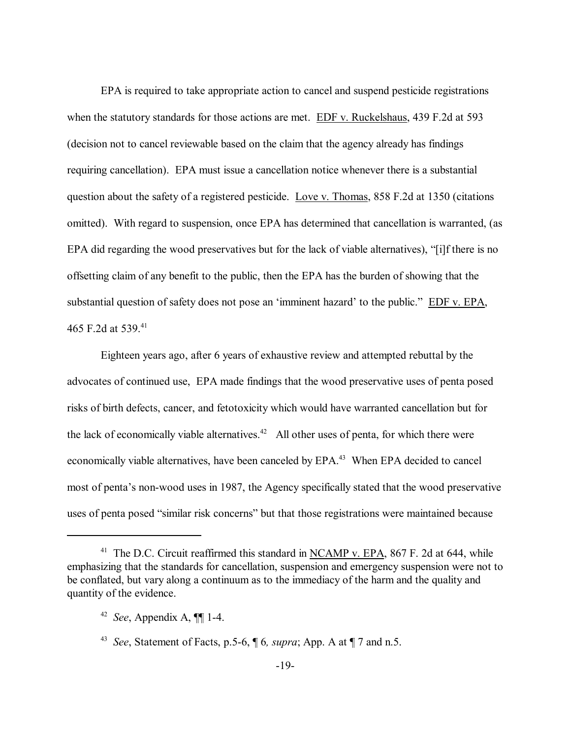EPA is required to take appropriate action to cancel and suspend pesticide registrations when the statutory standards for those actions are met. EDF v. Ruckelshaus, 439 F.2d at 593 (decision not to cancel reviewable based on the claim that the agency already has findings requiring cancellation). EPA must issue a cancellation notice whenever there is a substantial question about the safety of a registered pesticide. Love v. Thomas, 858 F.2d at 1350 (citations omitted). With regard to suspension, once EPA has determined that cancellation is warranted, (as EPA did regarding the wood preservatives but for the lack of viable alternatives), "[i]f there is no offsetting claim of any benefit to the public, then the EPA has the burden of showing that the substantial question of safety does not pose an 'imminent hazard' to the public." EDF v. EPA, 465 F.2d at 539.<sup>41</sup>

Eighteen years ago, after 6 years of exhaustive review and attempted rebuttal by the advocates of continued use, EPA made findings that the wood preservative uses of penta posed risks of birth defects, cancer, and fetotoxicity which would have warranted cancellation but for the lack of economically viable alternatives.<sup>42</sup> All other uses of penta, for which there were economically viable alternatives, have been canceled by EPA.<sup>43</sup> When EPA decided to cancel most of penta's non-wood uses in 1987, the Agency specifically stated that the wood preservative uses of penta posed "similar risk concerns" but that those registrations were maintained because

<sup>&</sup>lt;sup>41</sup> The D.C. Circuit reaffirmed this standard in NCAMP v. EPA, 867 F. 2d at 644, while emphasizing that the standards for cancellation, suspension and emergency suspension were not to be conflated, but vary along a continuum as to the immediacy of the harm and the quality and quantity of the evidence.

<sup>42</sup> *See*, Appendix A, ¶¶ 1-4.

<sup>43</sup> *See*, Statement of Facts, p.5-6, ¶ 6*, supra*; App. A at ¶ 7 and n.5.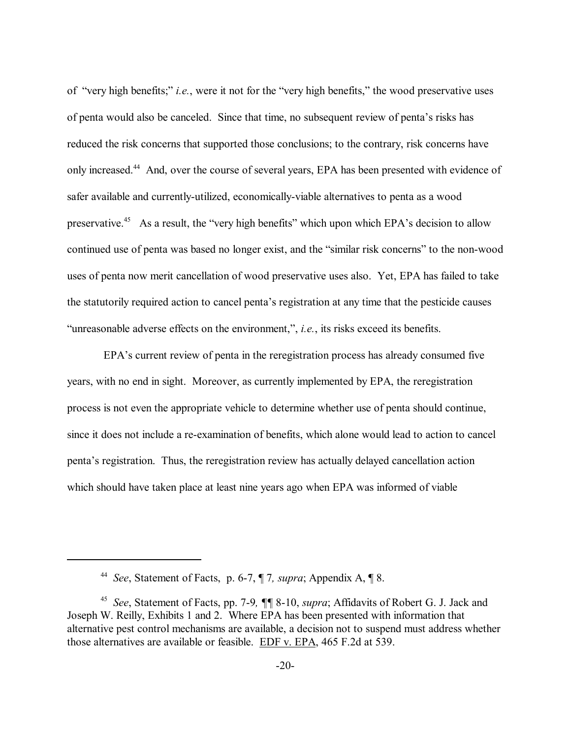of "very high benefits;" *i.e.*, were it not for the "very high benefits," the wood preservative uses of penta would also be canceled. Since that time, no subsequent review of penta's risks has reduced the risk concerns that supported those conclusions; to the contrary, risk concerns have only increased.44 And, over the course of several years, EPA has been presented with evidence of safer available and currently-utilized, economically-viable alternatives to penta as a wood preservative.<sup>45</sup> As a result, the "very high benefits" which upon which EPA's decision to allow continued use of penta was based no longer exist, and the "similar risk concerns" to the non-wood uses of penta now merit cancellation of wood preservative uses also. Yet, EPA has failed to take the statutorily required action to cancel penta's registration at any time that the pesticide causes "unreasonable adverse effects on the environment,", *i.e.*, its risks exceed its benefits.

EPA's current review of penta in the reregistration process has already consumed five years, with no end in sight. Moreover, as currently implemented by EPA, the reregistration process is not even the appropriate vehicle to determine whether use of penta should continue, since it does not include a re-examination of benefits, which alone would lead to action to cancel pentaís registration. Thus, the reregistration review has actually delayed cancellation action which should have taken place at least nine years ago when EPA was informed of viable

<sup>44</sup> *See*, Statement of Facts, p. 6-7, ¶ 7*, supra*; Appendix A, ¶ 8.

<sup>45</sup> *See*, Statement of Facts, pp. 7-9*, ¶¶* 8-10, *supra*; Affidavits of Robert G. J. Jack and Joseph W. Reilly, Exhibits 1 and 2. Where EPA has been presented with information that alternative pest control mechanisms are available, a decision not to suspend must address whether those alternatives are available or feasible. EDF v. EPA, 465 F.2d at 539.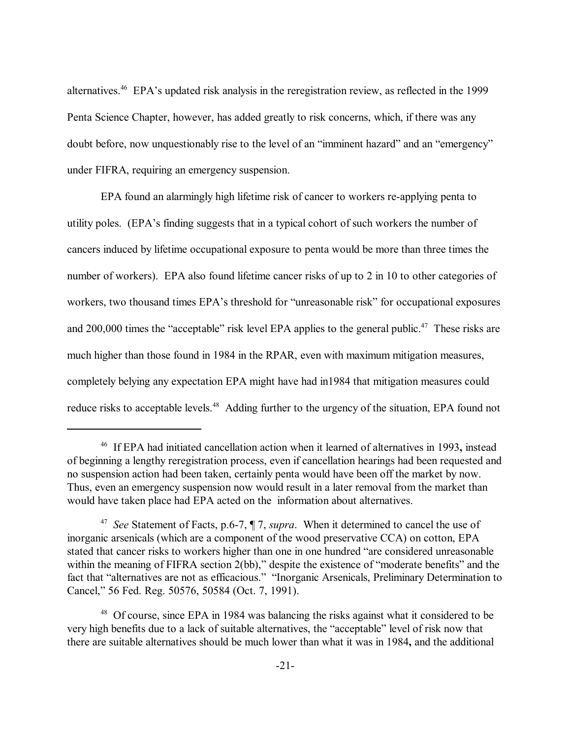alternatives.<sup>46</sup> EPA's updated risk analysis in the reregistration review, as reflected in the 1999 Penta Science Chapter, however, has added greatly to risk concerns, which, if there was any doubt before, now unquestionably rise to the level of an "imminent hazard" and an "emergency" under FIFRA, requiring an emergency suspension.

EPA found an alarmingly high lifetime risk of cancer to workers re-applying penta to utility poles. (EPA's finding suggests that in a typical cohort of such workers the number of cancers induced by lifetime occupational exposure to penta would be more than three times the number of workers). EPA also found lifetime cancer risks of up to 2 in 10 to other categories of workers, two thousand times EPA's threshold for "unreasonable risk" for occupational exposures and 200,000 times the "acceptable" risk level EPA applies to the general public.<sup>47</sup> These risks are much higher than those found in 1984 in the RPAR, even with maximum mitigation measures, completely belying any expectation EPA might have had in1984 that mitigation measures could reduce risks to acceptable levels.<sup>48</sup> Adding further to the urgency of the situation, EPA found not

<sup>46</sup> If EPA had initiated cancellation action when it learned of alternatives in 1993**,** instead of beginning a lengthy reregistration process, even if cancellation hearings had been requested and no suspension action had been taken, certainly penta would have been off the market by now. Thus, even an emergency suspension now would result in a later removal from the market than would have taken place had EPA acted on the information about alternatives.

<sup>47</sup> *See* Statement of Facts, p.6-7, ¶ 7, *supra*. When it determined to cancel the use of inorganic arsenicals (which are a component of the wood preservative CCA) on cotton, EPA stated that cancer risks to workers higher than one in one hundred "are considered unreasonable within the meaning of FIFRA section  $2(bb)$ ," despite the existence of "moderate benefits" and the fact that "alternatives are not as efficacious." "Inorganic Arsenicals, Preliminary Determination to Cancel," 56 Fed. Reg. 50576, 50584 (Oct. 7, 1991).

<sup>&</sup>lt;sup>48</sup> Of course, since EPA in 1984 was balancing the risks against what it considered to be very high benefits due to a lack of suitable alternatives, the "acceptable" level of risk now that there are suitable alternatives should be much lower than what it was in 1984**,** and the additional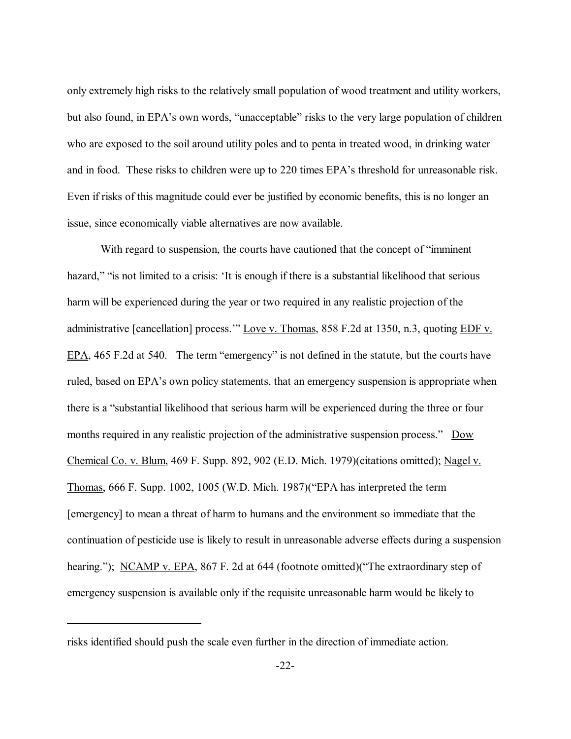only extremely high risks to the relatively small population of wood treatment and utility workers, but also found, in EPA's own words, "unacceptable" risks to the very large population of children who are exposed to the soil around utility poles and to penta in treated wood, in drinking water and in food. These risks to children were up to 220 times EPA's threshold for unreasonable risk. Even if risks of this magnitude could ever be justified by economic benefits, this is no longer an issue, since economically viable alternatives are now available.

With regard to suspension, the courts have cautioned that the concept of "imminent" hazard," "is not limited to a crisis: 'It is enough if there is a substantial likelihood that serious harm will be experienced during the year or two required in any realistic projection of the administrative [cancellation] process." Love v. Thomas, 858 F.2d at 1350, n.3, quoting EDF v. EPA,  $465$  F.2d at  $540$ . The term "emergency" is not defined in the statute, but the courts have ruled, based on EPA's own policy statements, that an emergency suspension is appropriate when there is a "substantial likelihood that serious harm will be experienced during the three or four months required in any realistic projection of the administrative suspension process." Dow Chemical Co. v. Blum, 469 F. Supp. 892, 902 (E.D. Mich. 1979)(citations omitted); Nagel v. Thomas,  $666$  F. Supp. 1002, 1005 (W.D. Mich. 1987)( $\text{``EPA}}$  has interpreted the term [emergency] to mean a threat of harm to humans and the environment so immediate that the continuation of pesticide use is likely to result in unreasonable adverse effects during a suspension hearing."); NCAMP v. EPA, 867 F. 2d at 644 (footnote omitted)("The extraordinary step of emergency suspension is available only if the requisite unreasonable harm would be likely to

risks identified should push the scale even further in the direction of immediate action.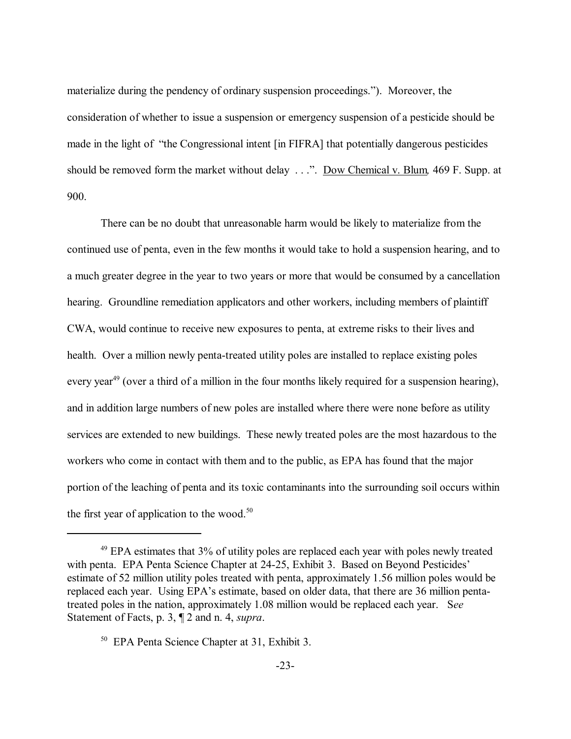materialize during the pendency of ordinary suspension proceedings."). Moreover, the consideration of whether to issue a suspension or emergency suspension of a pesticide should be made in the light of "the Congressional intent [in FIFRA] that potentially dangerous pesticides should be removed form the market without delay . . .". Dow Chemical v. Blum, 469 F. Supp. at 900.

There can be no doubt that unreasonable harm would be likely to materialize from the continued use of penta, even in the few months it would take to hold a suspension hearing, and to a much greater degree in the year to two years or more that would be consumed by a cancellation hearing. Groundline remediation applicators and other workers, including members of plaintiff CWA, would continue to receive new exposures to penta, at extreme risks to their lives and health. Over a million newly penta-treated utility poles are installed to replace existing poles every year<sup>49</sup> (over a third of a million in the four months likely required for a suspension hearing), and in addition large numbers of new poles are installed where there were none before as utility services are extended to new buildings. These newly treated poles are the most hazardous to the workers who come in contact with them and to the public, as EPA has found that the major portion of the leaching of penta and its toxic contaminants into the surrounding soil occurs within the first year of application to the wood.<sup>50</sup>

 $49$  EPA estimates that  $3\%$  of utility poles are replaced each year with poles newly treated with penta. EPA Penta Science Chapter at 24-25, Exhibit 3. Based on Beyond Pesticides' estimate of 52 million utility poles treated with penta, approximately 1.56 million poles would be replaced each year. Using EPA's estimate, based on older data, that there are 36 million pentatreated poles in the nation, approximately 1.08 million would be replaced each year. S*ee* Statement of Facts, p. 3, ¶ 2 and n. 4, *supra*.

<sup>50</sup> EPA Penta Science Chapter at 31, Exhibit 3.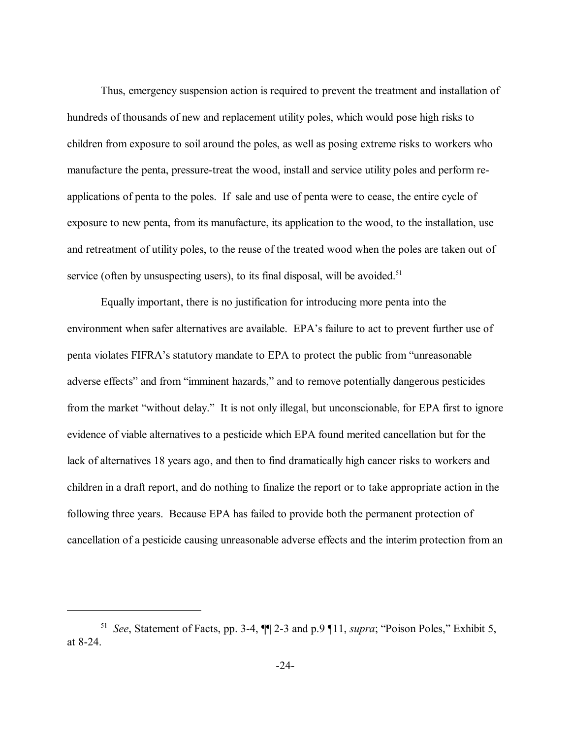Thus, emergency suspension action is required to prevent the treatment and installation of hundreds of thousands of new and replacement utility poles, which would pose high risks to children from exposure to soil around the poles, as well as posing extreme risks to workers who manufacture the penta, pressure-treat the wood, install and service utility poles and perform reapplications of penta to the poles. If sale and use of penta were to cease, the entire cycle of exposure to new penta, from its manufacture, its application to the wood, to the installation, use and retreatment of utility poles, to the reuse of the treated wood when the poles are taken out of service (often by unsuspecting users), to its final disposal, will be avoided.<sup>51</sup>

Equally important, there is no justification for introducing more penta into the environment when safer alternatives are available. EPA's failure to act to prevent further use of penta violates FIFRA's statutory mandate to EPA to protect the public from "unreasonable" adverse effects" and from "imminent hazards," and to remove potentially dangerous pesticides from the market "without delay." It is not only illegal, but unconscionable, for EPA first to ignore evidence of viable alternatives to a pesticide which EPA found merited cancellation but for the lack of alternatives 18 years ago, and then to find dramatically high cancer risks to workers and children in a draft report, and do nothing to finalize the report or to take appropriate action in the following three years. Because EPA has failed to provide both the permanent protection of cancellation of a pesticide causing unreasonable adverse effects and the interim protection from an

<sup>&</sup>lt;sup>51</sup> *See*, Statement of Facts, pp. 3-4,  $\P$  2-3 and p.9  $\P$ 11, *supra*; "Poison Poles," Exhibit 5, at 8-24.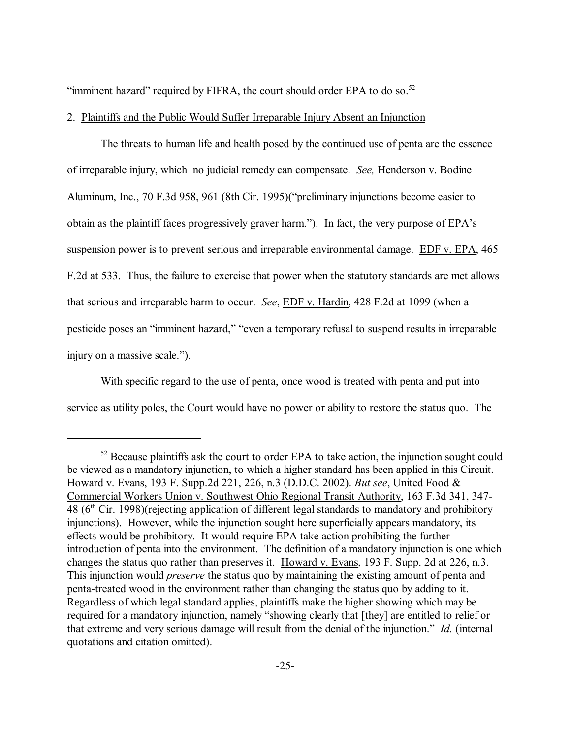"imminent hazard" required by FIFRA, the court should order EPA to do so. $52$ 

2. Plaintiffs and the Public Would Suffer Irreparable Injury Absent an Injunction

The threats to human life and health posed by the continued use of penta are the essence of irreparable injury, which no judicial remedy can compensate. *See,* Henderson v. Bodine Aluminum, Inc., 70 F.3d 958, 961 (8th Cir. 1995) ("preliminary injunctions become easier to obtain as the plaintiff faces progressively graver harm."). In fact, the very purpose of EPA's suspension power is to prevent serious and irreparable environmental damage. EDF v. EPA, 465 F.2d at 533. Thus, the failure to exercise that power when the statutory standards are met allows that serious and irreparable harm to occur. *See*, EDF v. Hardin, 428 F.2d at 1099 (when a pesticide poses an "imminent hazard," "even a temporary refusal to suspend results in irreparable injury on a massive scale.").

With specific regard to the use of penta, once wood is treated with penta and put into service as utility poles, the Court would have no power or ability to restore the status quo. The

 $52$  Because plaintiffs ask the court to order EPA to take action, the injunction sought could be viewed as a mandatory injunction, to which a higher standard has been applied in this Circuit. Howard v. Evans, 193 F. Supp.2d 221, 226, n.3 (D.D.C. 2002). *But see*, United Food & Commercial Workers Union v. Southwest Ohio Regional Transit Authority, 163 F.3d 341, 347- 48  $(6<sup>th</sup> Cir. 1998)$ (rejecting application of different legal standards to mandatory and prohibitory injunctions). However, while the injunction sought here superficially appears mandatory, its effects would be prohibitory. It would require EPA take action prohibiting the further introduction of penta into the environment. The definition of a mandatory injunction is one which changes the status quo rather than preserves it. Howard v. Evans, 193 F. Supp. 2d at 226, n.3. This injunction would *preserve* the status quo by maintaining the existing amount of penta and penta-treated wood in the environment rather than changing the status quo by adding to it. Regardless of which legal standard applies, plaintiffs make the higher showing which may be required for a mandatory injunction, namely "showing clearly that [they] are entitled to relief or that extreme and very serious damage will result from the denial of the injunction." *Id.* (internal quotations and citation omitted).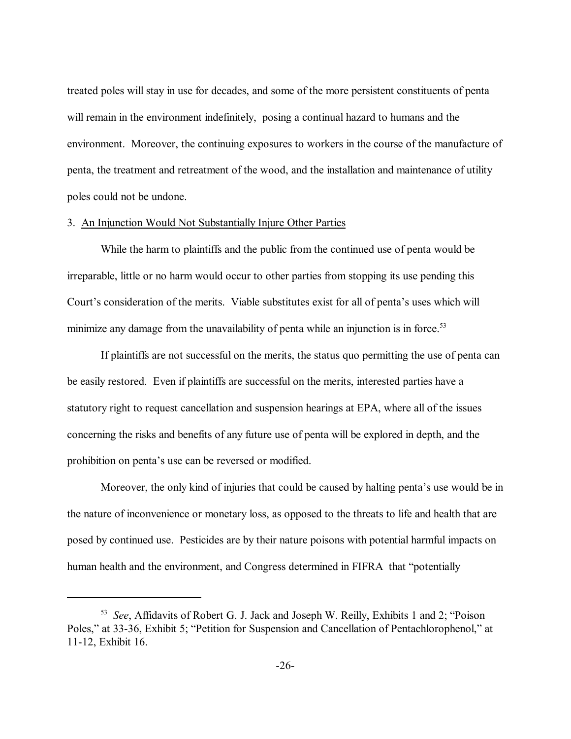treated poles will stay in use for decades, and some of the more persistent constituents of penta will remain in the environment indefinitely, posing a continual hazard to humans and the environment. Moreover, the continuing exposures to workers in the course of the manufacture of penta, the treatment and retreatment of the wood, and the installation and maintenance of utility poles could not be undone.

### 3. An Injunction Would Not Substantially Injure Other Parties

While the harm to plaintiffs and the public from the continued use of penta would be irreparable, little or no harm would occur to other parties from stopping its use pending this Court's consideration of the merits. Viable substitutes exist for all of penta's uses which will minimize any damage from the unavailability of penta while an injunction is in force.<sup>53</sup>

If plaintiffs are not successful on the merits, the status quo permitting the use of penta can be easily restored. Even if plaintiffs are successful on the merits, interested parties have a statutory right to request cancellation and suspension hearings at EPA, where all of the issues concerning the risks and benefits of any future use of penta will be explored in depth, and the prohibition on penta's use can be reversed or modified.

Moreover, the only kind of injuries that could be caused by halting penta's use would be in the nature of inconvenience or monetary loss, as opposed to the threats to life and health that are posed by continued use. Pesticides are by their nature poisons with potential harmful impacts on human health and the environment, and Congress determined in FIFRA that "potentially

<sup>&</sup>lt;sup>53</sup> *See*, Affidavits of Robert G. J. Jack and Joseph W. Reilly, Exhibits 1 and 2; "Poison" Poles," at 33-36, Exhibit 5; "Petition for Suspension and Cancellation of Pentachlorophenol," at 11-12, Exhibit 16.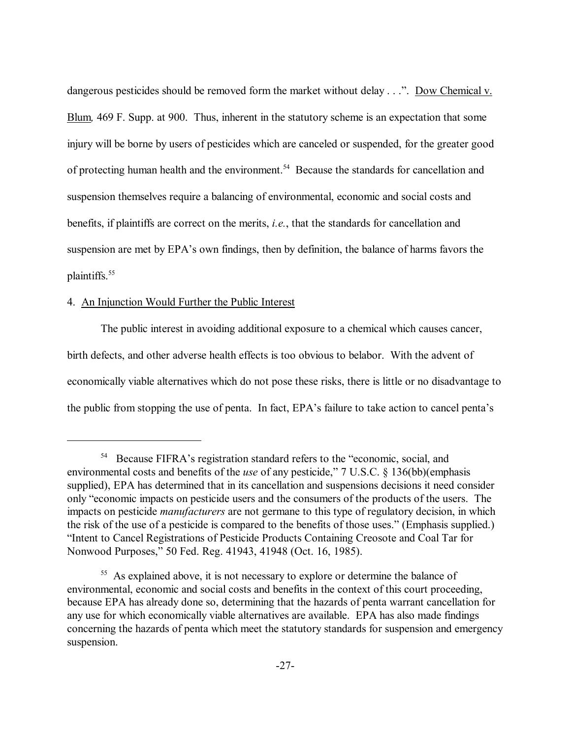dangerous pesticides should be removed form the market without delay  $\dots$ . Dow Chemical v. Blum*,* 469 F. Supp. at 900. Thus, inherent in the statutory scheme is an expectation that some injury will be borne by users of pesticides which are canceled or suspended, for the greater good of protecting human health and the environment.<sup>54</sup> Because the standards for cancellation and suspension themselves require a balancing of environmental, economic and social costs and benefits, if plaintiffs are correct on the merits, *i.e.*, that the standards for cancellation and suspension are met by EPA's own findings, then by definition, the balance of harms favors the plaintiffs.55

### 4. An Injunction Would Further the Public Interest

The public interest in avoiding additional exposure to a chemical which causes cancer, birth defects, and other adverse health effects is too obvious to belabor. With the advent of economically viable alternatives which do not pose these risks, there is little or no disadvantage to the public from stopping the use of penta. In fact, EPA's failure to take action to cancel penta's

<sup>&</sup>lt;sup>54</sup> Because FIFRA's registration standard refers to the "economic, social, and environmental costs and benefits of the *use* of any pesticide," 7 U.S.C. § 136(bb)(emphasis supplied), EPA has determined that in its cancellation and suspensions decisions it need consider only "economic impacts on pesticide users and the consumers of the products of the users. The impacts on pesticide *manufacturers* are not germane to this type of regulatory decision, in which the risk of the use of a pesticide is compared to the benefits of those uses." (Emphasis supplied.) "Intent to Cancel Registrations of Pesticide Products Containing Creosote and Coal Tar for Nonwood Purposes," 50 Fed. Reg. 41943, 41948 (Oct. 16, 1985).

<sup>&</sup>lt;sup>55</sup> As explained above, it is not necessary to explore or determine the balance of environmental, economic and social costs and benefits in the context of this court proceeding, because EPA has already done so, determining that the hazards of penta warrant cancellation for any use for which economically viable alternatives are available. EPA has also made findings concerning the hazards of penta which meet the statutory standards for suspension and emergency suspension.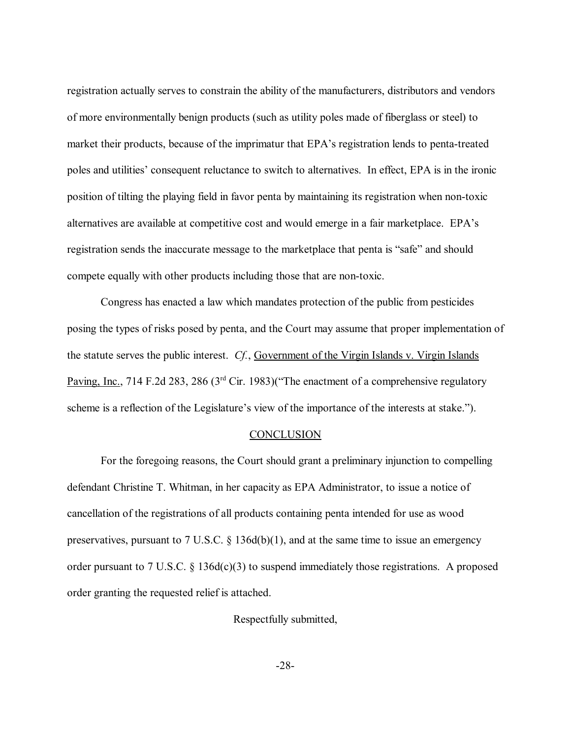registration actually serves to constrain the ability of the manufacturers, distributors and vendors of more environmentally benign products (such as utility poles made of fiberglass or steel) to market their products, because of the imprimatur that EPA's registration lends to penta-treated poles and utilities' consequent reluctance to switch to alternatives. In effect, EPA is in the ironic position of tilting the playing field in favor penta by maintaining its registration when non-toxic alternatives are available at competitive cost and would emerge in a fair marketplace. EPA's registration sends the inaccurate message to the marketplace that penta is "safe" and should compete equally with other products including those that are non-toxic.

Congress has enacted a law which mandates protection of the public from pesticides posing the types of risks posed by penta, and the Court may assume that proper implementation of the statute serves the public interest. *Cf.*, Government of the Virgin Islands v. Virgin Islands Paving, Inc., 714 F.2d 283, 286 ( $3<sup>rd</sup>$  Cir. 1983)("The enactment of a comprehensive regulatory scheme is a reflection of the Legislature's view of the importance of the interests at stake.").

#### **CONCLUSION**

For the foregoing reasons, the Court should grant a preliminary injunction to compelling defendant Christine T. Whitman, in her capacity as EPA Administrator, to issue a notice of cancellation of the registrations of all products containing penta intended for use as wood preservatives, pursuant to 7 U.S.C.  $\S$  136d(b)(1), and at the same time to issue an emergency order pursuant to 7 U.S.C. ß 136d(c)(3) to suspend immediately those registrations. A proposed order granting the requested relief is attached.

Respectfully submitted,

-28-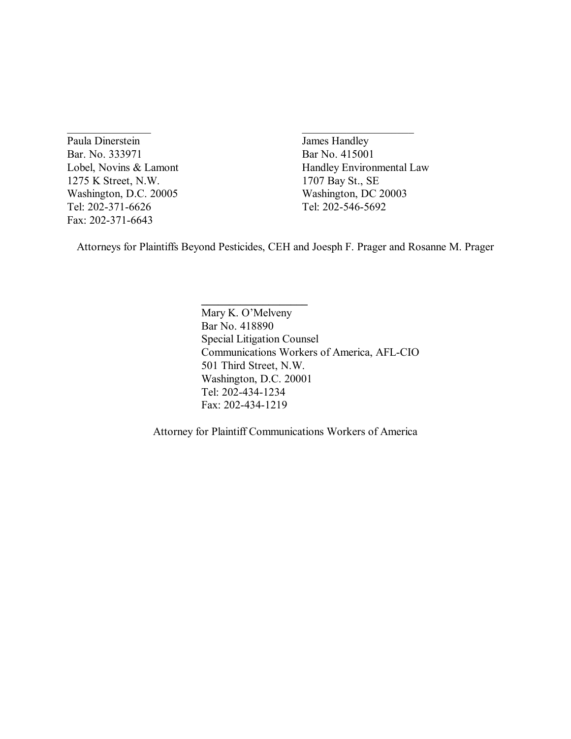Paula Dinerstein James Handley Bar. No. 333971 Bar No. 415001 1275 K Street, N.W. 1707 Bay St., SE Washington, D.C. 20005 Washington, DC 20003 Tel: 202-371-6626 Tel: 202-546-5692 Fax: 202-371-6643

Lobel, Novins & Lamont Handley Environmental Law

Attorneys for Plaintiffs Beyond Pesticides, CEH and Joesph F. Prager and Rosanne M. Prager

**\_\_\_\_\_\_\_\_\_\_\_\_\_\_\_\_\_\_\_**

 $\mathcal{L}_\text{max}$  and  $\mathcal{L}_\text{max}$  and  $\mathcal{L}_\text{max}$  and  $\mathcal{L}_\text{max}$ 

Mary K. O'Melveny Bar No. 418890 Special Litigation Counsel Communications Workers of America, AFL-CIO 501 Third Street, N.W. Washington, D.C. 20001 Tel: 202-434-1234 Fax: 202-434-1219

Attorney for Plaintiff Communications Workers of America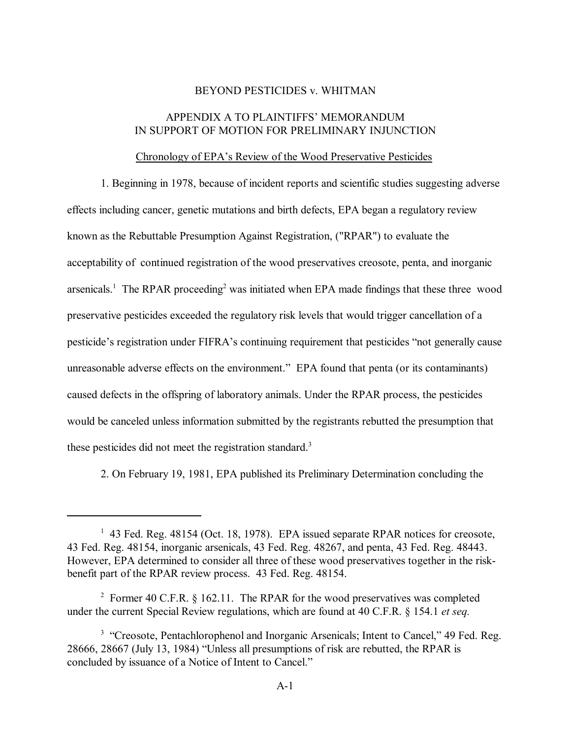#### BEYOND PESTICIDES v. WHITMAN

### APPENDIX A TO PLAINTIFFS' MEMORANDUM IN SUPPORT OF MOTION FOR PRELIMINARY INJUNCTION

#### Chronology of EPA's Review of the Wood Preservative Pesticides

1. Beginning in 1978, because of incident reports and scientific studies suggesting adverse effects including cancer, genetic mutations and birth defects, EPA began a regulatory review known as the Rebuttable Presumption Against Registration, ("RPAR") to evaluate the acceptability of continued registration of the wood preservatives creosote, penta, and inorganic arsenicals.<sup>1</sup> The RPAR proceeding<sup>2</sup> was initiated when EPA made findings that these three wood preservative pesticides exceeded the regulatory risk levels that would trigger cancellation of a pesticide's registration under FIFRA's continuing requirement that pesticides "not generally cause unreasonable adverse effects on the environment." EPA found that penta (or its contaminants) caused defects in the offspring of laboratory animals. Under the RPAR process, the pesticides would be canceled unless information submitted by the registrants rebutted the presumption that these pesticides did not meet the registration standard.<sup>3</sup>

2. On February 19, 1981, EPA published its Preliminary Determination concluding the

<sup>&</sup>lt;sup>1</sup> 43 Fed. Reg. 48154 (Oct. 18, 1978). EPA issued separate RPAR notices for creosote, 43 Fed. Reg. 48154, inorganic arsenicals, 43 Fed. Reg. 48267, and penta, 43 Fed. Reg. 48443. However, EPA determined to consider all three of these wood preservatives together in the riskbenefit part of the RPAR review process. 43 Fed. Reg. 48154.

<sup>&</sup>lt;sup>2</sup> Former 40 C.F.R. § 162.11. The RPAR for the wood preservatives was completed under the current Special Review regulations, which are found at 40 C.F.R. ß 154.1 *et seq.*

<sup>&</sup>lt;sup>3</sup> "Creosote, Pentachlorophenol and Inorganic Arsenicals; Intent to Cancel," 49 Fed. Reg. 28666, 28667 (July 13, 1984) "Unless all presumptions of risk are rebutted, the RPAR is concluded by issuance of a Notice of Intent to Cancel.<sup>"</sup>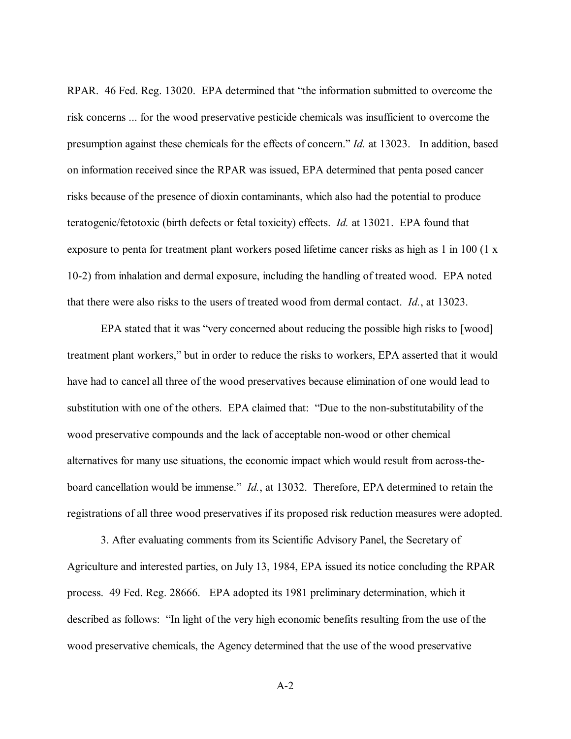RPAR. 46 Fed. Reg. 13020. EPA determined that "the information submitted to overcome the risk concerns ... for the wood preservative pesticide chemicals was insufficient to overcome the presumption against these chemicals for the effects of concern." *Id.* at 13023. In addition, based on information received since the RPAR was issued, EPA determined that penta posed cancer risks because of the presence of dioxin contaminants, which also had the potential to produce teratogenic/fetotoxic (birth defects or fetal toxicity) effects. *Id.* at 13021. EPA found that exposure to penta for treatment plant workers posed lifetime cancer risks as high as 1 in 100 (1 x 10-2) from inhalation and dermal exposure, including the handling of treated wood. EPA noted that there were also risks to the users of treated wood from dermal contact. *Id.*, at 13023.

EPA stated that it was "very concerned about reducing the possible high risks to [wood] treatment plant workers," but in order to reduce the risks to workers, EPA asserted that it would have had to cancel all three of the wood preservatives because elimination of one would lead to substitution with one of the others. EPA claimed that: "Due to the non-substitutability of the wood preservative compounds and the lack of acceptable non-wood or other chemical alternatives for many use situations, the economic impact which would result from across-theboard cancellation would be immense." *Id.*, at 13032. Therefore, EPA determined to retain the registrations of all three wood preservatives if its proposed risk reduction measures were adopted.

3. After evaluating comments from its Scientific Advisory Panel, the Secretary of Agriculture and interested parties, on July 13, 1984, EPA issued its notice concluding the RPAR process. 49 Fed. Reg. 28666. EPA adopted its 1981 preliminary determination, which it described as follows: "In light of the very high economic benefits resulting from the use of the wood preservative chemicals, the Agency determined that the use of the wood preservative

A-2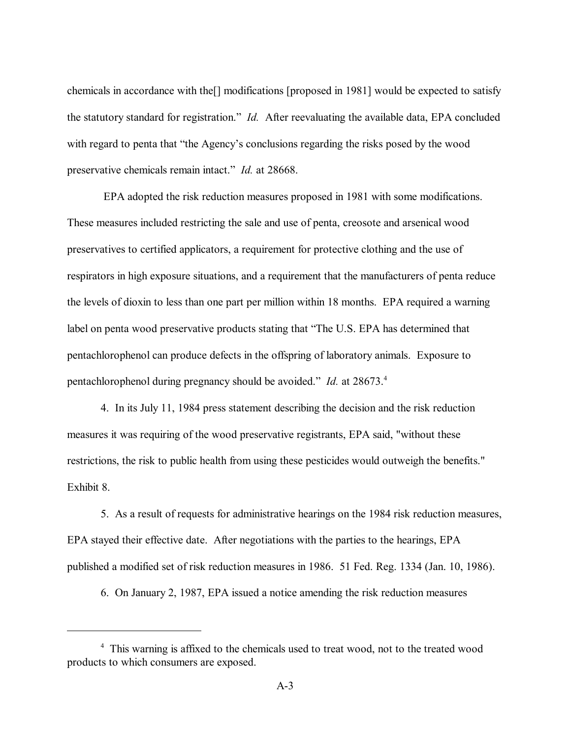chemicals in accordance with the[] modifications [proposed in 1981] would be expected to satisfy the statutory standard for registration." *Id.* After reevaluating the available data, EPA concluded with regard to penta that "the Agency's conclusions regarding the risks posed by the wood preservative chemicals remain intact." *Id.* at 28668.

 EPA adopted the risk reduction measures proposed in 1981 with some modifications. These measures included restricting the sale and use of penta, creosote and arsenical wood preservatives to certified applicators, a requirement for protective clothing and the use of respirators in high exposure situations, and a requirement that the manufacturers of penta reduce the levels of dioxin to less than one part per million within 18 months. EPA required a warning label on penta wood preservative products stating that "The U.S. EPA has determined that pentachlorophenol can produce defects in the offspring of laboratory animals. Exposure to pentachlorophenol during pregnancy should be avoided.<sup>7</sup> *Id.* at 28673.<sup>4</sup>

4. In its July 11, 1984 press statement describing the decision and the risk reduction measures it was requiring of the wood preservative registrants, EPA said, "without these restrictions, the risk to public health from using these pesticides would outweigh the benefits." Exhibit 8.

5. As a result of requests for administrative hearings on the 1984 risk reduction measures, EPA stayed their effective date. After negotiations with the parties to the hearings, EPA published a modified set of risk reduction measures in 1986. 51 Fed. Reg. 1334 (Jan. 10, 1986).

6. On January 2, 1987, EPA issued a notice amending the risk reduction measures

<sup>&</sup>lt;sup>4</sup> This warning is affixed to the chemicals used to treat wood, not to the treated wood products to which consumers are exposed.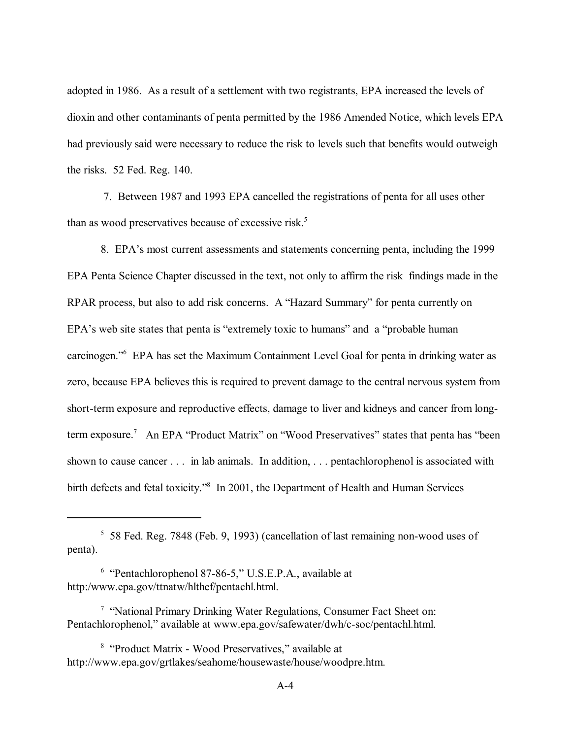adopted in 1986. As a result of a settlement with two registrants, EPA increased the levels of dioxin and other contaminants of penta permitted by the 1986 Amended Notice, which levels EPA had previously said were necessary to reduce the risk to levels such that benefits would outweigh the risks. 52 Fed. Reg. 140.

 7. Between 1987 and 1993 EPA cancelled the registrations of penta for all uses other than as wood preservatives because of excessive risk.<sup>5</sup>

8. EPA's most current assessments and statements concerning penta, including the 1999 EPA Penta Science Chapter discussed in the text, not only to affirm the risk findings made in the RPAR process, but also to add risk concerns. A "Hazard Summary" for penta currently on EPA's web site states that penta is "extremely toxic to humans" and a "probable human carcinogen."<sup>6</sup> EPA has set the Maximum Containment Level Goal for penta in drinking water as zero, because EPA believes this is required to prevent damage to the central nervous system from short-term exposure and reproductive effects, damage to liver and kidneys and cancer from longterm exposure.<sup>7</sup> An EPA "Product Matrix" on "Wood Preservatives" states that penta has "been shown to cause cancer . . . in lab animals. In addition, . . . pentachlorophenol is associated with birth defects and fetal toxicity."<sup>8</sup> In 2001, the Department of Health and Human Services

<sup>5</sup> 58 Fed. Reg. 7848 (Feb. 9, 1993) (cancellation of last remaining non-wood uses of penta).

 $6$  "Pentachlorophenol 87-86-5," U.S.E.P.A., available at http:/www.epa.gov/ttnatw/hlthef/pentachl.html.

<sup>&</sup>lt;sup>7</sup> "National Primary Drinking Water Regulations, Consumer Fact Sheet on: Pentachlorophenol," available at www.epa.gov/safewater/dwh/c-soc/pentachl.html.

<sup>&</sup>lt;sup>8</sup> "Product Matrix - Wood Preservatives," available at http://www.epa.gov/grtlakes/seahome/housewaste/house/woodpre.htm.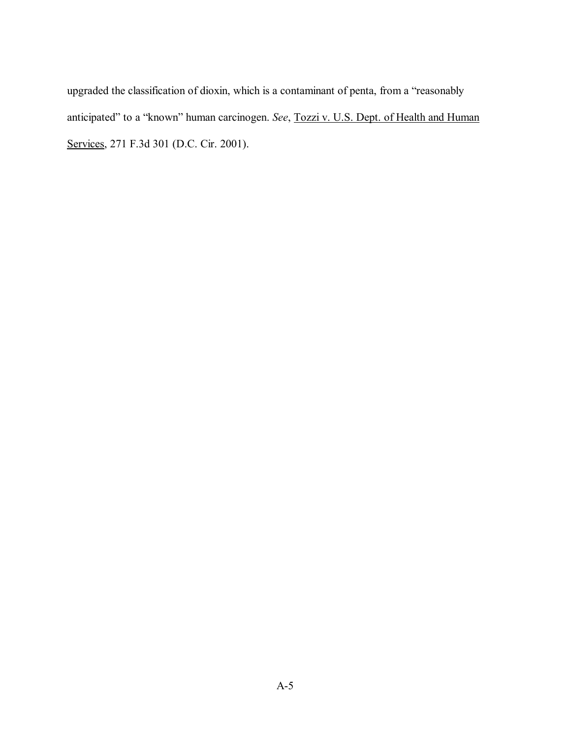upgraded the classification of dioxin, which is a contaminant of penta, from a "reasonably anticipated" to a "known" human carcinogen. *See*, Tozzi v. U.S. Dept. of Health and Human Services, 271 F.3d 301 (D.C. Cir. 2001).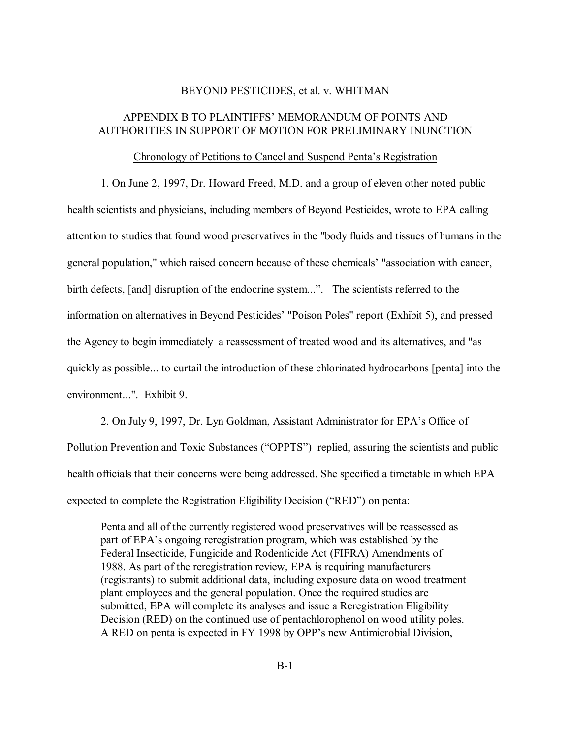#### BEYOND PESTICIDES, et al. v. WHITMAN

### APPENDIX B TO PLAINTIFFS' MEMORANDUM OF POINTS AND AUTHORITIES IN SUPPORT OF MOTION FOR PRELIMINARY INUNCTION

#### Chronology of Petitions to Cancel and Suspend Penta's Registration

1. On June 2, 1997, Dr. Howard Freed, M.D. and a group of eleven other noted public health scientists and physicians, including members of Beyond Pesticides, wrote to EPA calling attention to studies that found wood preservatives in the "body fluids and tissues of humans in the general population," which raised concern because of these chemicals' "association with cancer, birth defects, [and] disruption of the endocrine system...". The scientists referred to the information on alternatives in Beyond Pesticides' "Poison Poles" report (Exhibit 5), and pressed the Agency to begin immediately a reassessment of treated wood and its alternatives, and "as quickly as possible... to curtail the introduction of these chlorinated hydrocarbons [penta] into the environment...". Exhibit 9.

2. On July 9, 1997, Dr. Lyn Goldman, Assistant Administrator for EPA's Office of Pollution Prevention and Toxic Substances ("OPPTS") replied, assuring the scientists and public health officials that their concerns were being addressed. She specified a timetable in which EPA expected to complete the Registration Eligibility Decision ("RED") on penta:

Penta and all of the currently registered wood preservatives will be reassessed as part of EPA's ongoing reregistration program, which was established by the Federal Insecticide, Fungicide and Rodenticide Act (FIFRA) Amendments of 1988. As part of the reregistration review, EPA is requiring manufacturers (registrants) to submit additional data, including exposure data on wood treatment plant employees and the general population. Once the required studies are submitted, EPA will complete its analyses and issue a Reregistration Eligibility Decision (RED) on the continued use of pentachlorophenol on wood utility poles. A RED on penta is expected in FY 1998 by OPP's new Antimicrobial Division,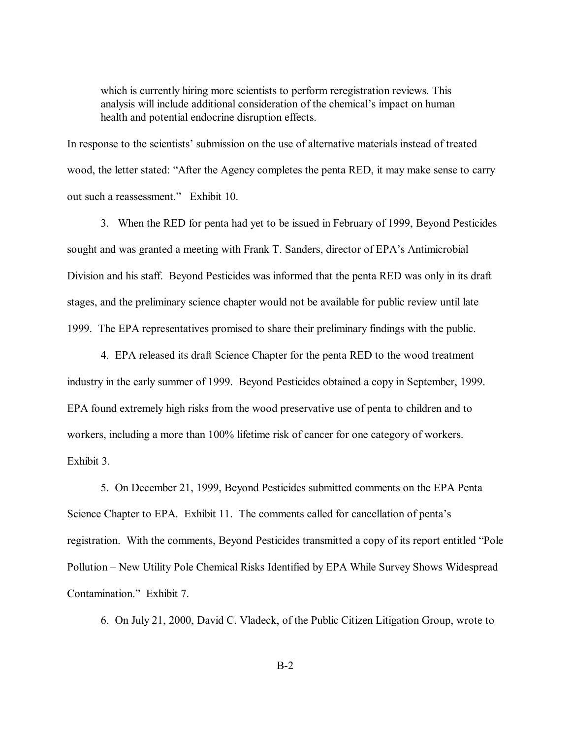which is currently hiring more scientists to perform reregistration reviews. This analysis will include additional consideration of the chemical's impact on human health and potential endocrine disruption effects.

In response to the scientists' submission on the use of alternative materials instead of treated wood, the letter stated: "After the Agency completes the penta RED, it may make sense to carry out such a reassessment." Exhibit 10.

3. When the RED for penta had yet to be issued in February of 1999, Beyond Pesticides sought and was granted a meeting with Frank T. Sanders, director of EPA's Antimicrobial Division and his staff. Beyond Pesticides was informed that the penta RED was only in its draft stages, and the preliminary science chapter would not be available for public review until late 1999. The EPA representatives promised to share their preliminary findings with the public.

4. EPA released its draft Science Chapter for the penta RED to the wood treatment industry in the early summer of 1999. Beyond Pesticides obtained a copy in September, 1999. EPA found extremely high risks from the wood preservative use of penta to children and to workers, including a more than 100% lifetime risk of cancer for one category of workers. Exhibit 3.

5. On December 21, 1999, Beyond Pesticides submitted comments on the EPA Penta Science Chapter to EPA. Exhibit 11. The comments called for cancellation of penta's registration. With the comments, Beyond Pesticides transmitted a copy of its report entitled "Pole" Pollution – New Utility Pole Chemical Risks Identified by EPA While Survey Shows Widespread Contamination." Exhibit 7.

6. On July 21, 2000, David C. Vladeck, of the Public Citizen Litigation Group, wrote to

B-2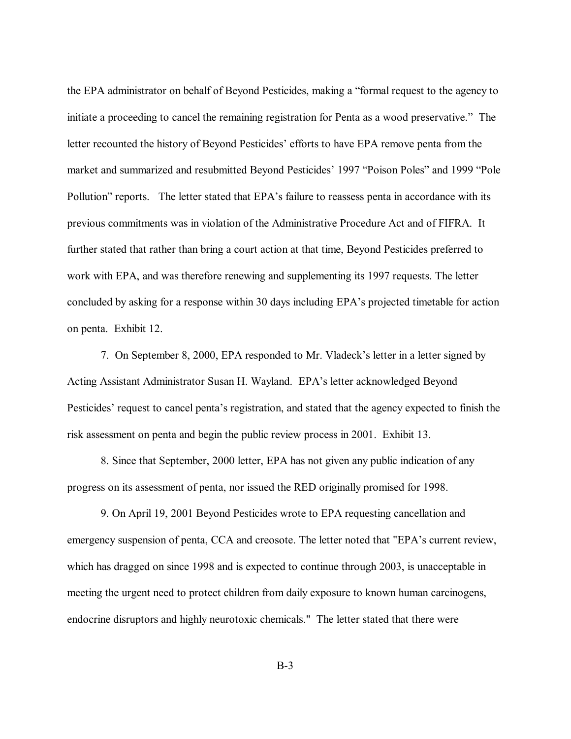the EPA administrator on behalf of Beyond Pesticides, making a "formal request to the agency to initiate a proceeding to cancel the remaining registration for Penta as a wood preservative." The letter recounted the history of Beyond Pesticides' efforts to have EPA remove penta from the market and summarized and resubmitted Beyond Pesticides' 1997 "Poison Poles" and 1999 "Pole Pollution" reports. The letter stated that EPA's failure to reassess penta in accordance with its previous commitments was in violation of the Administrative Procedure Act and of FIFRA. It further stated that rather than bring a court action at that time, Beyond Pesticides preferred to work with EPA, and was therefore renewing and supplementing its 1997 requests. The letter concluded by asking for a response within 30 days including EPA's projected timetable for action on penta. Exhibit 12.

7. On September 8, 2000, EPA responded to Mr. Vladeck's letter in a letter signed by Acting Assistant Administrator Susan H. Wayland. EPA's letter acknowledged Beyond Pesticides' request to cancel penta's registration, and stated that the agency expected to finish the risk assessment on penta and begin the public review process in 2001. Exhibit 13.

8. Since that September, 2000 letter, EPA has not given any public indication of any progress on its assessment of penta, nor issued the RED originally promised for 1998.

9. On April 19, 2001 Beyond Pesticides wrote to EPA requesting cancellation and emergency suspension of penta, CCA and creosote. The letter noted that "EPA's current review, which has dragged on since 1998 and is expected to continue through 2003, is unacceptable in meeting the urgent need to protect children from daily exposure to known human carcinogens, endocrine disruptors and highly neurotoxic chemicals." The letter stated that there were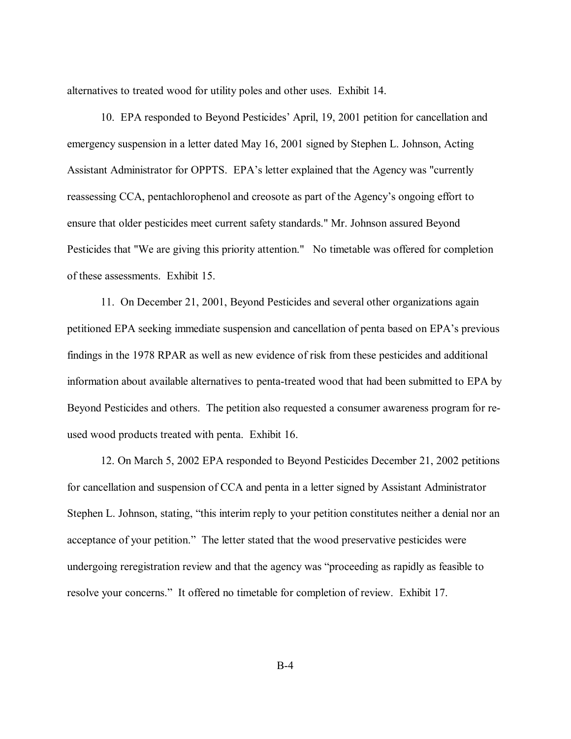alternatives to treated wood for utility poles and other uses. Exhibit 14.

10. EPA responded to Beyond Pesticides' April, 19, 2001 petition for cancellation and emergency suspension in a letter dated May 16, 2001 signed by Stephen L. Johnson, Acting Assistant Administrator for OPPTS. EPA's letter explained that the Agency was "currently reassessing CCA, pentachlorophenol and creosote as part of the Agency's ongoing effort to ensure that older pesticides meet current safety standards." Mr. Johnson assured Beyond Pesticides that "We are giving this priority attention." No timetable was offered for completion of these assessments. Exhibit 15.

11. On December 21, 2001, Beyond Pesticides and several other organizations again petitioned EPA seeking immediate suspension and cancellation of penta based on EPA's previous findings in the 1978 RPAR as well as new evidence of risk from these pesticides and additional information about available alternatives to penta-treated wood that had been submitted to EPA by Beyond Pesticides and others. The petition also requested a consumer awareness program for reused wood products treated with penta. Exhibit 16.

12. On March 5, 2002 EPA responded to Beyond Pesticides December 21, 2002 petitions for cancellation and suspension of CCA and penta in a letter signed by Assistant Administrator Stephen L. Johnson, stating, "this interim reply to your petition constitutes neither a denial nor an acceptance of your petition." The letter stated that the wood preservative pesticides were undergoing reregistration review and that the agency was "proceeding as rapidly as feasible to resolve your concerns." It offered no timetable for completion of review. Exhibit 17.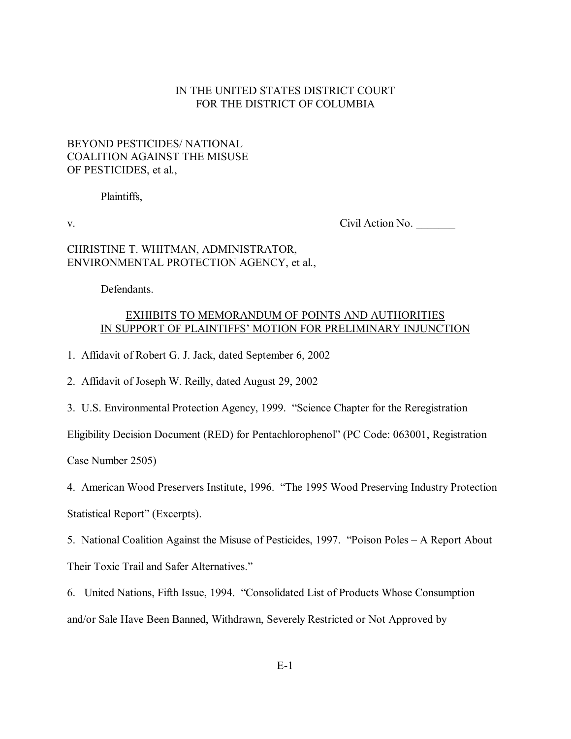### IN THE UNITED STATES DISTRICT COURT FOR THE DISTRICT OF COLUMBIA

## BEYOND PESTICIDES/ NATIONAL COALITION AGAINST THE MISUSE OF PESTICIDES, et al.,

Plaintiffs,

v. Civil Action No. \_\_\_\_\_\_\_

### CHRISTINE T. WHITMAN, ADMINISTRATOR, ENVIRONMENTAL PROTECTION AGENCY, et al.,

Defendants.

### EXHIBITS TO MEMORANDUM OF POINTS AND AUTHORITIES IN SUPPORT OF PLAINTIFFS' MOTION FOR PRELIMINARY INJUNCTION

1. Affidavit of Robert G. J. Jack, dated September 6, 2002

2. Affidavit of Joseph W. Reilly, dated August 29, 2002

3. U.S. Environmental Protection Agency, 1999. "Science Chapter for the Reregistration

Eligibility Decision Document (RED) for Pentachlorophenol" (PC Code: 063001, Registration

Case Number 2505)

4. American Wood Preservers Institute, 1996. "The 1995 Wood Preserving Industry Protection

Statistical Report" (Excerpts).

5. National Coalition Against the Misuse of Pesticides, 1997. *"Poison Poles – A Report About* Their Toxic Trail and Safer Alternatives."

6. United Nations, Fifth Issue, 1994. "Consolidated List of Products Whose Consumption and/or Sale Have Been Banned, Withdrawn, Severely Restricted or Not Approved by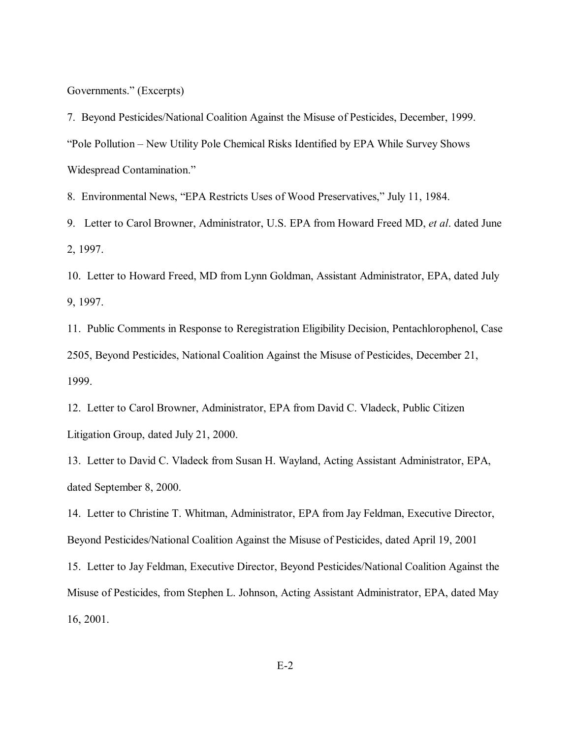Governments." (Excerpts)

7. Beyond Pesticides/National Coalition Against the Misuse of Pesticides, December, 1999. ìPole Pollution ñ New Utility Pole Chemical Risks Identified by EPA While Survey Shows Widespread Contamination."

8. Environmental News, "EPA Restricts Uses of Wood Preservatives," July 11, 1984.

9. Letter to Carol Browner, Administrator, U.S. EPA from Howard Freed MD, *et al*. dated June 2, 1997.

10. Letter to Howard Freed, MD from Lynn Goldman, Assistant Administrator, EPA, dated July 9, 1997.

11. Public Comments in Response to Reregistration Eligibility Decision, Pentachlorophenol, Case 2505, Beyond Pesticides, National Coalition Against the Misuse of Pesticides, December 21, 1999.

12. Letter to Carol Browner, Administrator, EPA from David C. Vladeck, Public Citizen Litigation Group, dated July 21, 2000.

13. Letter to David C. Vladeck from Susan H. Wayland, Acting Assistant Administrator, EPA, dated September 8, 2000.

14. Letter to Christine T. Whitman, Administrator, EPA from Jay Feldman, Executive Director, Beyond Pesticides/National Coalition Against the Misuse of Pesticides, dated April 19, 2001

15. Letter to Jay Feldman, Executive Director, Beyond Pesticides/National Coalition Against the Misuse of Pesticides, from Stephen L. Johnson, Acting Assistant Administrator, EPA, dated May 16, 2001.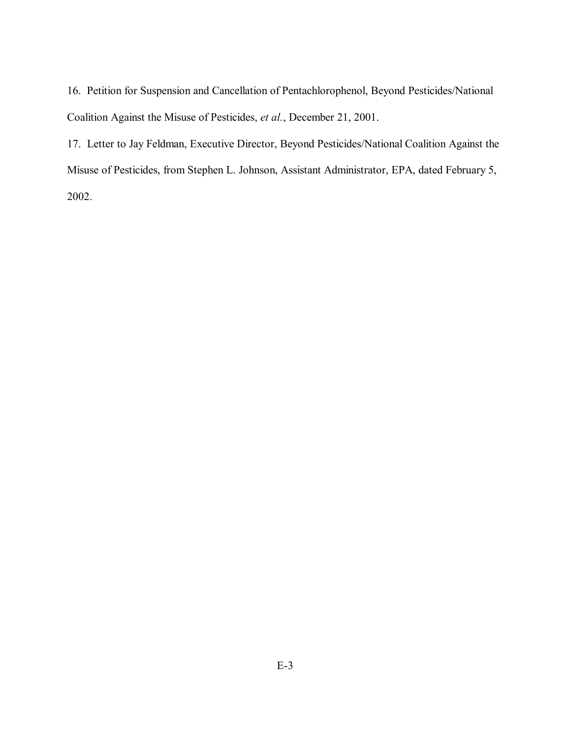16. Petition for Suspension and Cancellation of Pentachlorophenol, Beyond Pesticides/National Coalition Against the Misuse of Pesticides, *et al.*, December 21, 2001.

17. Letter to Jay Feldman, Executive Director, Beyond Pesticides/National Coalition Against the Misuse of Pesticides, from Stephen L. Johnson, Assistant Administrator, EPA, dated February 5, 2002.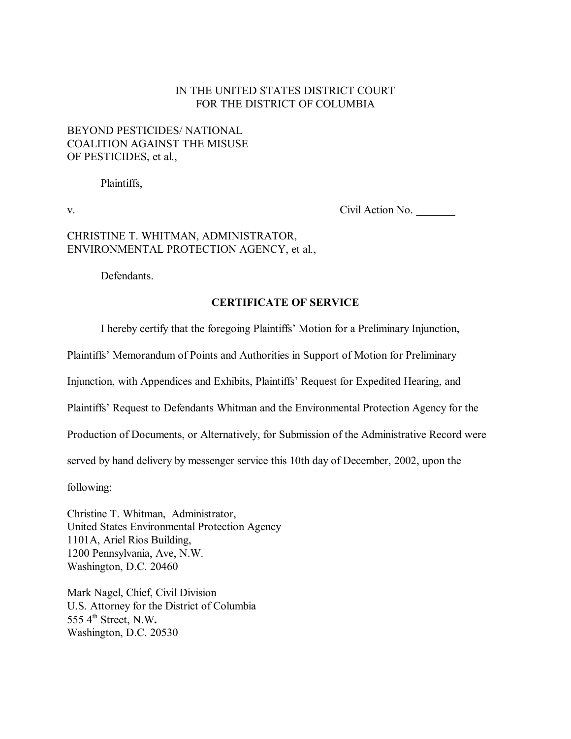### IN THE UNITED STATES DISTRICT COURT FOR THE DISTRICT OF COLUMBIA

## BEYOND PESTICIDES/ NATIONAL COALITION AGAINST THE MISUSE OF PESTICIDES, et al.,

Plaintiffs,

v. Civil Action No.

## CHRISTINE T. WHITMAN, ADMINISTRATOR, ENVIRONMENTAL PROTECTION AGENCY, et al.,

Defendants.

### **CERTIFICATE OF SERVICE**

I hereby certify that the foregoing Plaintiffs' Motion for a Preliminary Injunction,

Plaintiffs' Memorandum of Points and Authorities in Support of Motion for Preliminary

Injunction, with Appendices and Exhibits, Plaintiffs' Request for Expedited Hearing, and

Plaintiffs' Request to Defendants Whitman and the Environmental Protection Agency for the

Production of Documents, or Alternatively, for Submission of the Administrative Record were

served by hand delivery by messenger service this 10th day of December, 2002, upon the

following:

Christine T. Whitman, Administrator, United States Environmental Protection Agency 1101A, Ariel Rios Building, 1200 Pennsylvania, Ave, N.W. Washington, D.C. 20460

Mark Nagel, Chief, Civil Division U.S. Attorney for the District of Columbia 555 4th Street, N.W**.** Washington, D.C. 20530